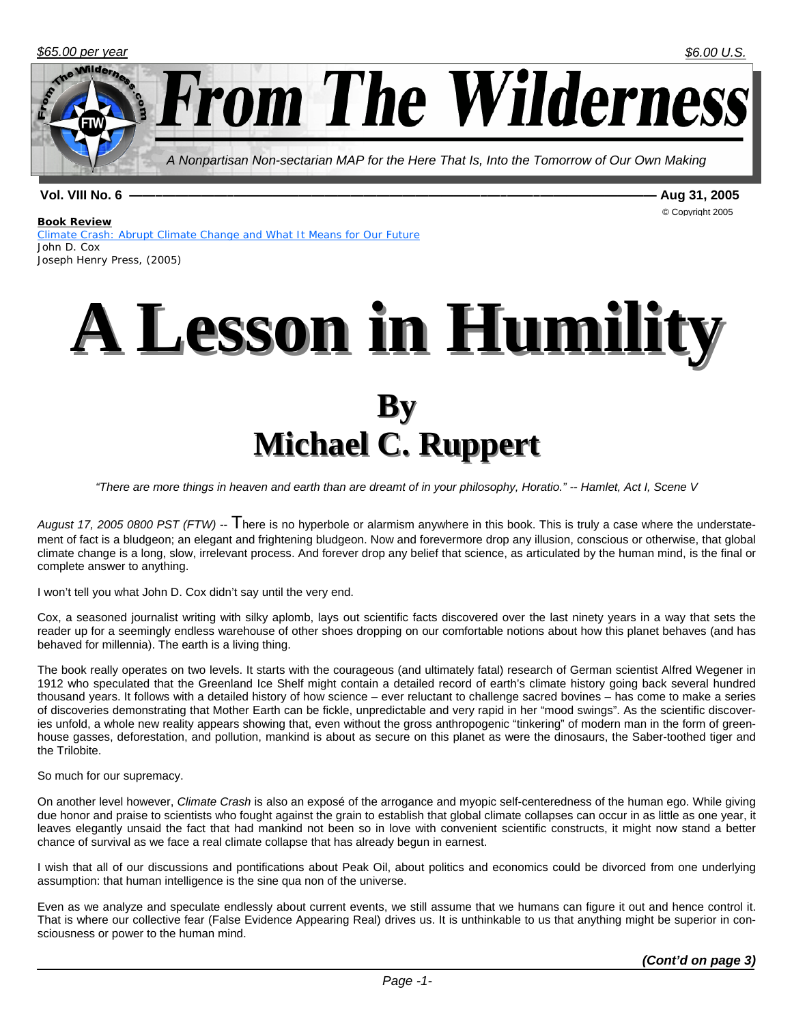

**Vol. VIII No. 6 ——–—————–———————————————————–—–——–————————— Aug 31, 2005** 

© Copyright 2005

#### **Book Review**

*Climate Crash: Abrupt Climate Change and What It Means for Our Future*  John D. Cox Joseph Henry Press, (2005)



*"There are more things in heaven and earth than are dreamt of in your philosophy, Horatio." -- Hamlet, Act I, Scene V*

*August 17, 2005 0800 PST (FTW)* -- There is no hyperbole or alarmism anywhere in this book. This is truly a case where the understatement of fact is a bludgeon; an elegant and frightening bludgeon. Now and forevermore drop any illusion, conscious or otherwise, that global climate change is a long, slow, irrelevant process. And forever drop any belief that science, as articulated by the human mind, is the final or complete answer to anything.

I won't tell you what John D. Cox didn't say until the very end.

Cox, a seasoned journalist writing with silky aplomb, lays out scientific facts discovered over the last ninety years in a way that sets the reader up for a seemingly endless warehouse of other shoes dropping on our comfortable notions about how this planet behaves (and has behaved for millennia). The earth is a living thing.

The book really operates on two levels. It starts with the courageous (and ultimately fatal) research of German scientist Alfred Wegener in 1912 who speculated that the Greenland Ice Shelf might contain a detailed record of earth's climate history going back several hundred thousand years. It follows with a detailed history of how science – ever reluctant to challenge sacred bovines – has come to make a series of discoveries demonstrating that Mother Earth can be fickle, unpredictable and very rapid in her "mood swings". As the scientific discoveries unfold, a whole new reality appears showing that, even without the gross anthropogenic "tinkering" of modern man in the form of greenhouse gasses, deforestation, and pollution, mankind is about as secure on this planet as were the dinosaurs, the Saber-toothed tiger and the Trilobite.

So much for our supremacy.

On another level however, *Climate Crash* is also an exposé of the arrogance and myopic self-centeredness of the human ego. While giving due honor and praise to scientists who fought against the grain to establish that global climate collapses can occur in as little as one year, it leaves elegantly unsaid the fact that had mankind not been so in love with convenient scientific constructs, it might now stand a better chance of survival as we face a real climate collapse that has already begun in earnest.

I wish that all of our discussions and pontifications about Peak Oil, about politics and economics could be divorced from one underlying assumption: that human intelligence is the sine qua non of the universe.

Even as we analyze and speculate endlessly about current events, we still assume that we humans can figure it out and hence control it. That is where our collective fear (False Evidence Appearing Real) drives us. It is unthinkable to us that anything might be superior in consciousness or power to the human mind.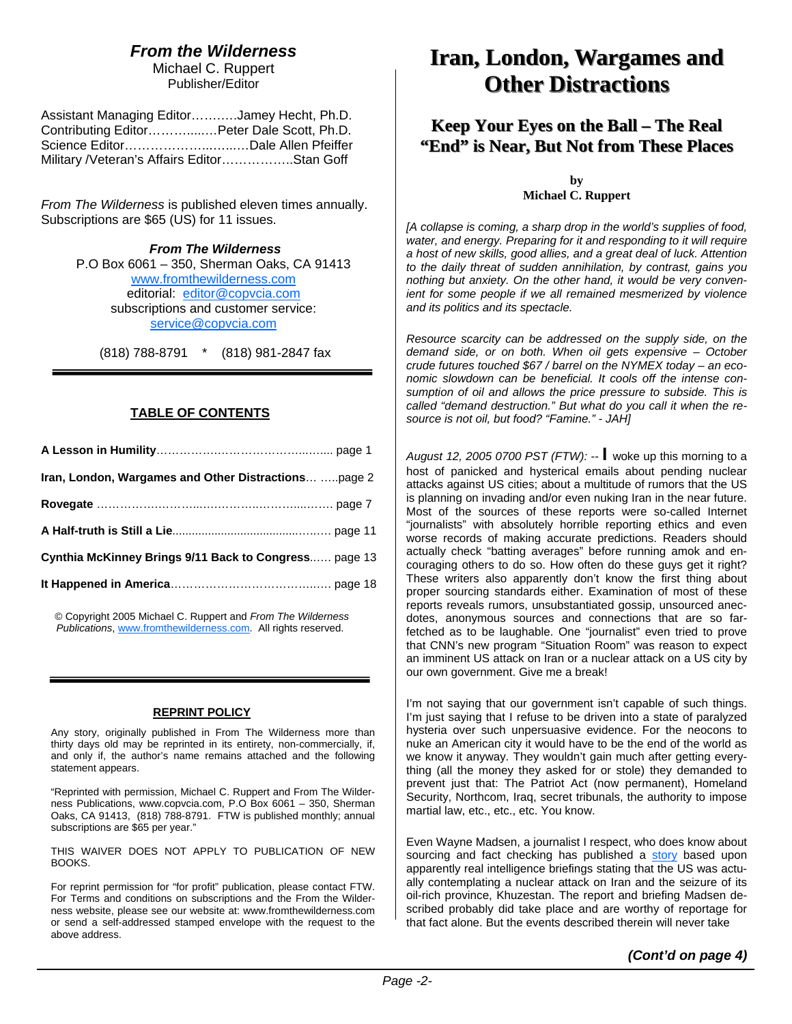## *From the Wilderness*

Michael C. Ruppert Publisher/Editor

| Assistant Managing EditorJamey Hecht, Ph.D.  |  |
|----------------------------------------------|--|
| Contributing EditorPeter Dale Scott, Ph.D.   |  |
|                                              |  |
| Military / Veteran's Affairs EditorStan Goff |  |

*From The Wilderness* is published eleven times annually. Subscriptions are \$65 (US) for 11 issues.

> *From The Wilderness*  P.O Box 6061 – 350, Sherman Oaks, CA 91413 www.fromthewilderness.com editorial: editor@copvcia.com subscriptions and customer service: service@copvcia.com

(818) 788-8791 \* (818) 981-2847 fax

### **TABLE OF CONTENTS**

| Iran, London, Wargames and Other Distractions  page 2 |  |
|-------------------------------------------------------|--|
|                                                       |  |
|                                                       |  |
| Cynthia McKinney Brings 9/11 Back to Congress page 13 |  |
|                                                       |  |

© Copyright 2005 Michael C. Ruppert and *From The Wilderness Publications*, www.fromthewilderness.com. All rights reserved.

#### **REPRINT POLICY**

Any story, originally published in From The Wilderness more than thirty days old may be reprinted in its entirety, non-commercially, if, and only if, the author's name remains attached and the following statement appears.

"Reprinted with permission, Michael C. Ruppert and From The Wilderness Publications, www.copvcia.com, P.O Box 6061 – 350, Sherman Oaks, CA 91413, (818) 788-8791. FTW is published monthly; annual subscriptions are \$65 per year."

THIS WAIVER DOES NOT APPLY TO PUBLICATION OF NEW BOOKS.

For reprint permission for "for profit" publication, please contact FTW. For Terms and conditions on subscriptions and the From the Wilderness website, please see our website at: www.fromthewilderness.com or send a self-addressed stamped envelope with the request to the above address.

## **Iran, London, Wargames and Other Distractions Other Distractions**

### **Keep Your Eyes on the Ball – The Real "End" is Near, But Not from These Places "End" is Near, But Not from These Places**

**by Michael C. Ruppert** 

*[A collapse is coming, a sharp drop in the world's supplies of food, water, and energy. Preparing for it and responding to it will require a host of new skills, good allies, and a great deal of luck. Attention to the daily threat of sudden annihilation, by contrast, gains you nothing but anxiety. On the other hand, it would be very convenient for some people if we all remained mesmerized by violence and its politics and its spectacle.*

*Resource scarcity can be addressed on the supply side, on the demand side, or on both. When oil gets expensive – October crude futures touched \$67 / barrel on the NYMEX today – an economic slowdown can be beneficial. It cools off the intense consumption of oil and allows the price pressure to subside. This is called "demand destruction." But what do you call it when the resource is not oil, but food? "Famine." - JAH]*

*August 12, 2005 0700 PST (FTW):* -- **I** woke up this morning to a host of panicked and hysterical emails about pending nuclear attacks against US cities; about a multitude of rumors that the US is planning on invading and/or even nuking Iran in the near future. Most of the sources of these reports were so-called Internet "journalists" with absolutely horrible reporting ethics and even worse records of making accurate predictions. Readers should actually check "batting averages" before running amok and encouraging others to do so. How often do these guys get it right? These writers also apparently don't know the first thing about proper sourcing standards either. Examination of most of these reports reveals rumors, unsubstantiated gossip, unsourced anecdotes, anonymous sources and connections that are so farfetched as to be laughable. One "journalist" even tried to prove that CNN's new program "Situation Room" was reason to expect an imminent US attack on Iran or a nuclear attack on a US city by our own government. Give me a break!

I'm not saying that our government isn't capable of such things. I'm just saying that I refuse to be driven into a state of paralyzed hysteria over such unpersuasive evidence. For the neocons to nuke an American city it would have to be the end of the world as we know it anyway. They wouldn't gain much after getting everything (all the money they asked for or stole) they demanded to prevent just that: The Patriot Act (now permanent), Homeland Security, Northcom, Iraq, secret tribunals, the authority to impose martial law, etc., etc., etc. You know.

Even Wayne Madsen, a journalist I respect, who does know about sourcing and fact checking has published a story based upon apparently real intelligence briefings stating that the US was actually contemplating a nuclear attack on Iran and the seizure of its oil-rich province, Khuzestan. The report and briefing Madsen described probably did take place and are worthy of reportage for that fact alone. But the events described therein will never take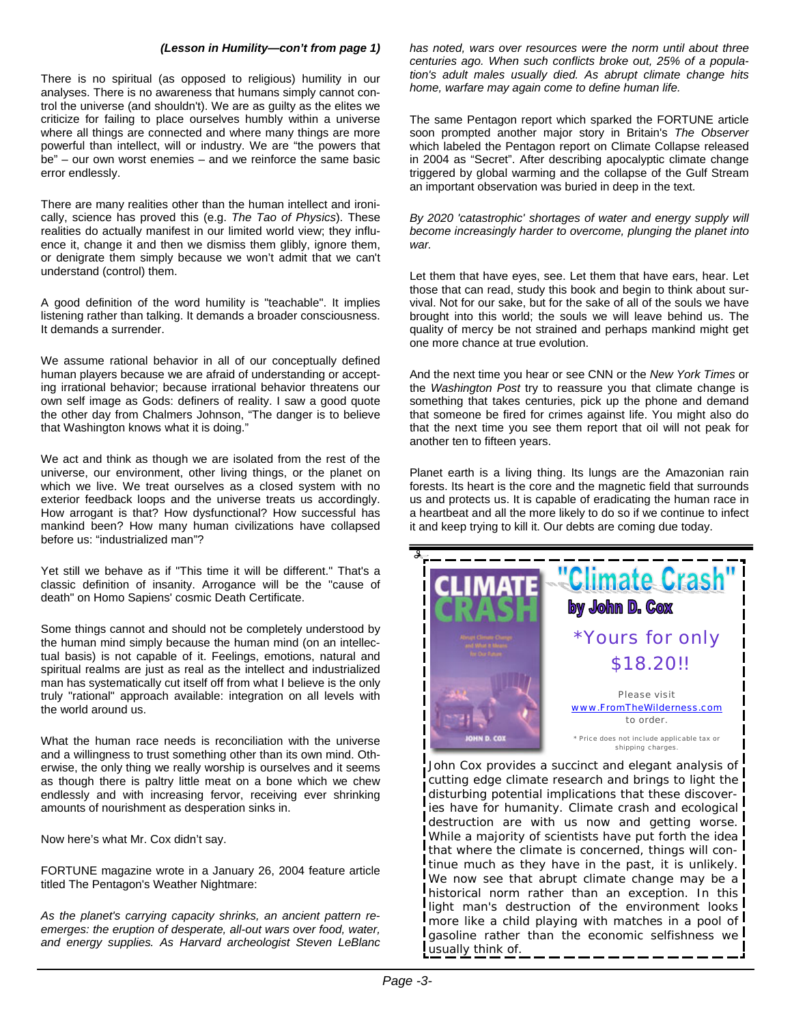#### *(Lesson in Humility—con't from page 1)*

There is no spiritual (as opposed to religious) humility in our analyses. There is no awareness that humans simply cannot control the universe (and shouldn't). We are as guilty as the elites we criticize for failing to place ourselves humbly within a universe where all things are connected and where many things are more powerful than intellect, will or industry. We are "the powers that be" – our own worst enemies – and we reinforce the same basic error endlessly.

There are many realities other than the human intellect and ironically, science has proved this (e.g. *The Tao of Physics*). These realities do actually manifest in our limited world view; they influence it, change it and then we dismiss them glibly, ignore them, or denigrate them simply because we won't admit that we can't understand (control) them.

A good definition of the word humility is "teachable". It implies listening rather than talking. It demands a broader consciousness. It demands a surrender.

We assume rational behavior in all of our conceptually defined human players because we are afraid of understanding or accepting irrational behavior; because irrational behavior threatens our own self image as Gods: definers of reality. I saw a good quote the other day from Chalmers Johnson, "The danger is to believe that Washington knows what it is doing."

We act and think as though we are isolated from the rest of the universe, our environment, other living things, or the planet on which we live. We treat ourselves as a closed system with no exterior feedback loops and the universe treats us accordingly. How arrogant is that? How dysfunctional? How successful has mankind been? How many human civilizations have collapsed before us: "industrialized man"?

Yet still we behave as if "This time it will be different." That's a classic definition of insanity. Arrogance will be the "cause of death" on Homo Sapiens' cosmic Death Certificate.

Some things cannot and should not be completely understood by the human mind simply because the human mind (on an intellectual basis) is not capable of it. Feelings, emotions, natural and spiritual realms are just as real as the intellect and industrialized man has systematically cut itself off from what I believe is the only truly "rational" approach available: integration on all levels with the world around us.

What the human race needs is reconciliation with the universe and a willingness to trust something other than its own mind. Otherwise, the only thing we really worship is ourselves and it seems as though there is paltry little meat on a bone which we chew endlessly and with increasing fervor, receiving ever shrinking amounts of nourishment as desperation sinks in.

Now here's what Mr. Cox didn't say.

FORTUNE magazine wrote in a January 26, 2004 feature article titled The Pentagon's Weather Nightmare:

*As the planet's carrying capacity shrinks, an ancient pattern reemerges: the eruption of desperate, all-out wars over food, water, and energy supplies. As Harvard archeologist Steven LeBlanc*  *has noted, wars over resources were the norm until about three centuries ago. When such conflicts broke out, 25% of a population's adult males usually died. As abrupt climate change hits home, warfare may again come to define human life.*

The same Pentagon report which sparked the FORTUNE article soon prompted another major story in Britain's *The Observer* which labeled the Pentagon report on Climate Collapse released in 2004 as "Secret". After describing apocalyptic climate change triggered by global warming and the collapse of the Gulf Stream an important observation was buried in deep in the text.

*By 2020 'catastrophic' shortages of water and energy supply will become increasingly harder to overcome, plunging the planet into war.*

Let them that have eyes, see. Let them that have ears, hear. Let those that can read, study this book and begin to think about survival. Not for our sake, but for the sake of all of the souls we have brought into this world; the souls we will leave behind us. The quality of mercy be not strained and perhaps mankind might get one more chance at true evolution.

And the next time you hear or see CNN or the *New York Times* or the *Washington Post* try to reassure you that climate change is something that takes centuries, pick up the phone and demand that someone be fired for crimes against life. You might also do that the next time you see them report that oil will not peak for another ten to fifteen years.

Planet earth is a living thing. Its lungs are the Amazonian rain forests. Its heart is the core and the magnetic field that surrounds us and protects us. It is capable of eradicating the human race in a heartbeat and all the more likely to do so if we continue to infect it and keep trying to kill it. Our debts are coming due today.



John Cox provides a succinct and elegant analysis of cutting edge climate research and brings to light the disturbing potential implications that these discoveries have for humanity. Climate crash and ecological destruction are with us now and getting worse. While a majority of scientists have put forth the idea that where the climate is concerned, things will continue much as they have in the past, it is unlikely. We now see that abrupt climate change may be a historical norm rather than an exception. In this light man's destruction of the environment looks more like a child playing with matches in a pool of gasoline rather than the economic selfishness we usually think of.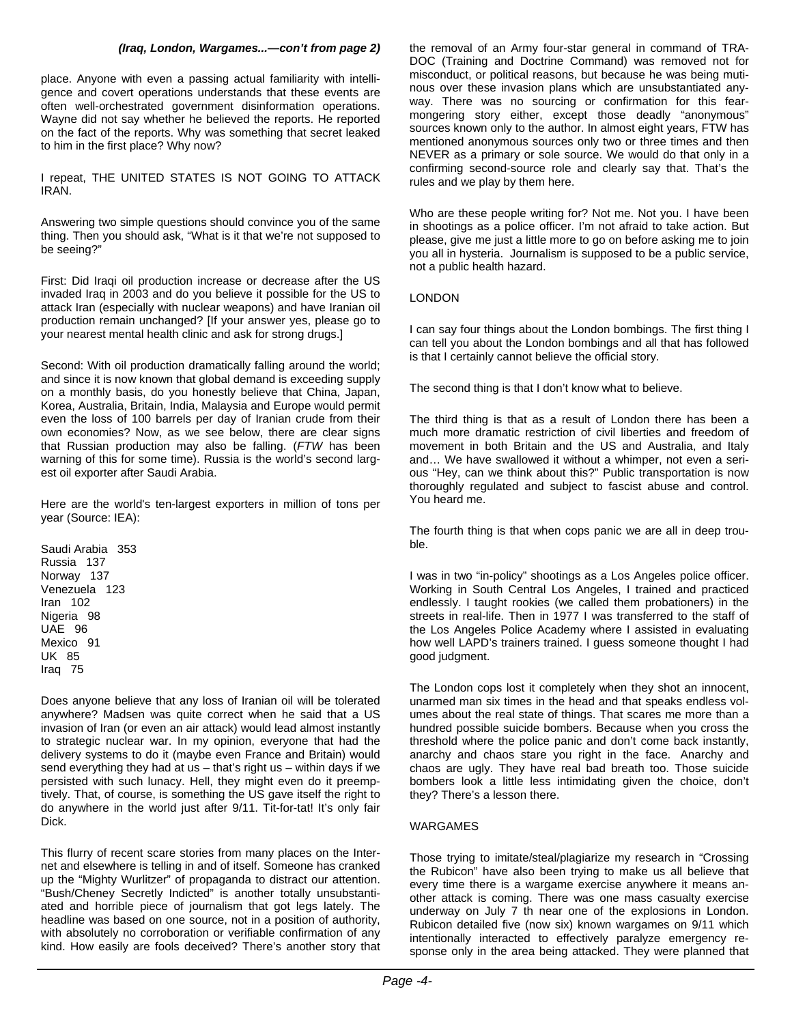#### *(Iraq, London, Wargames...—con't from page 2)*

place. Anyone with even a passing actual familiarity with intelligence and covert operations understands that these events are often well-orchestrated government disinformation operations. Wayne did not say whether he believed the reports. He reported on the fact of the reports. Why was something that secret leaked to him in the first place? Why now?

I repeat, THE UNITED STATES IS NOT GOING TO ATTACK IRAN.

Answering two simple questions should convince you of the same thing. Then you should ask, "What is it that we're not supposed to be seeing?"

First: Did Iraqi oil production increase or decrease after the US invaded Iraq in 2003 and do you believe it possible for the US to attack Iran (especially with nuclear weapons) and have Iranian oil production remain unchanged? [If your answer yes, please go to your nearest mental health clinic and ask for strong drugs.]

Second: With oil production dramatically falling around the world: and since it is now known that global demand is exceeding supply on a monthly basis, do you honestly believe that China, Japan, Korea, Australia, Britain, India, Malaysia and Europe would permit even the loss of 100 barrels per day of Iranian crude from their own economies? Now, as we see below, there are clear signs that Russian production may also be falling. (*FTW* has been warning of this for some time). Russia is the world's second largest oil exporter after Saudi Arabia.

Here are the world's ten-largest exporters in million of tons per year (Source: IEA):

Saudi Arabia 353 Russia 137 Norway 137 Venezuela 123 Iran 102 Nigeria 98 UAE 96 Mexico 91 UK 85 Iraq 75

Does anyone believe that any loss of Iranian oil will be tolerated anywhere? Madsen was quite correct when he said that a US invasion of Iran (or even an air attack) would lead almost instantly to strategic nuclear war. In my opinion, everyone that had the delivery systems to do it (maybe even France and Britain) would send everything they had at us – that's right us – within days if we persisted with such lunacy. Hell, they might even do it preemptively. That, of course, is something the US gave itself the right to do anywhere in the world just after 9/11. Tit-for-tat! It's only fair Dick.

This flurry of recent scare stories from many places on the Internet and elsewhere is telling in and of itself. Someone has cranked up the "Mighty Wurlitzer" of propaganda to distract our attention. "Bush/Cheney Secretly Indicted" is another totally unsubstantiated and horrible piece of journalism that got legs lately. The headline was based on one source, not in a position of authority, with absolutely no corroboration or verifiable confirmation of any kind. How easily are fools deceived? There's another story that the removal of an Army four-star general in command of TRA-DOC (Training and Doctrine Command) was removed not for misconduct, or political reasons, but because he was being mutinous over these invasion plans which are unsubstantiated anyway. There was no sourcing or confirmation for this fearmongering story either, except those deadly "anonymous" sources known only to the author. In almost eight years, FTW has mentioned anonymous sources only two or three times and then NEVER as a primary or sole source. We would do that only in a confirming second-source role and clearly say that. That's the rules and we play by them here.

Who are these people writing for? Not me. Not you. I have been in shootings as a police officer. I'm not afraid to take action. But please, give me just a little more to go on before asking me to join you all in hysteria. Journalism is supposed to be a public service, not a public health hazard.

#### LONDON

I can say four things about the London bombings. The first thing I can tell you about the London bombings and all that has followed is that I certainly cannot believe the official story.

The second thing is that I don't know what to believe.

The third thing is that as a result of London there has been a much more dramatic restriction of civil liberties and freedom of movement in both Britain and the US and Australia, and Italy and… We have swallowed it without a whimper, not even a serious "Hey, can we think about this?" Public transportation is now thoroughly regulated and subject to fascist abuse and control. You heard me.

The fourth thing is that when cops panic we are all in deep trouble.

I was in two "in-policy" shootings as a Los Angeles police officer. Working in South Central Los Angeles, I trained and practiced endlessly. I taught rookies (we called them probationers) in the streets in real-life. Then in 1977 I was transferred to the staff of the Los Angeles Police Academy where I assisted in evaluating how well LAPD's trainers trained. I guess someone thought I had good judgment.

The London cops lost it completely when they shot an innocent, unarmed man six times in the head and that speaks endless volumes about the real state of things. That scares me more than a hundred possible suicide bombers. Because when you cross the threshold where the police panic and don't come back instantly, anarchy and chaos stare you right in the face. Anarchy and chaos are ugly. They have real bad breath too. Those suicide bombers look a little less intimidating given the choice, don't they? There's a lesson there.

#### WARGAMES

Those trying to imitate/steal/plagiarize my research in "Crossing the Rubicon" have also been trying to make us all believe that every time there is a wargame exercise anywhere it means another attack is coming. There was one mass casualty exercise underway on July 7 th near one of the explosions in London. Rubicon detailed five (now six) known wargames on 9/11 which intentionally interacted to effectively paralyze emergency response only in the area being attacked. They were planned that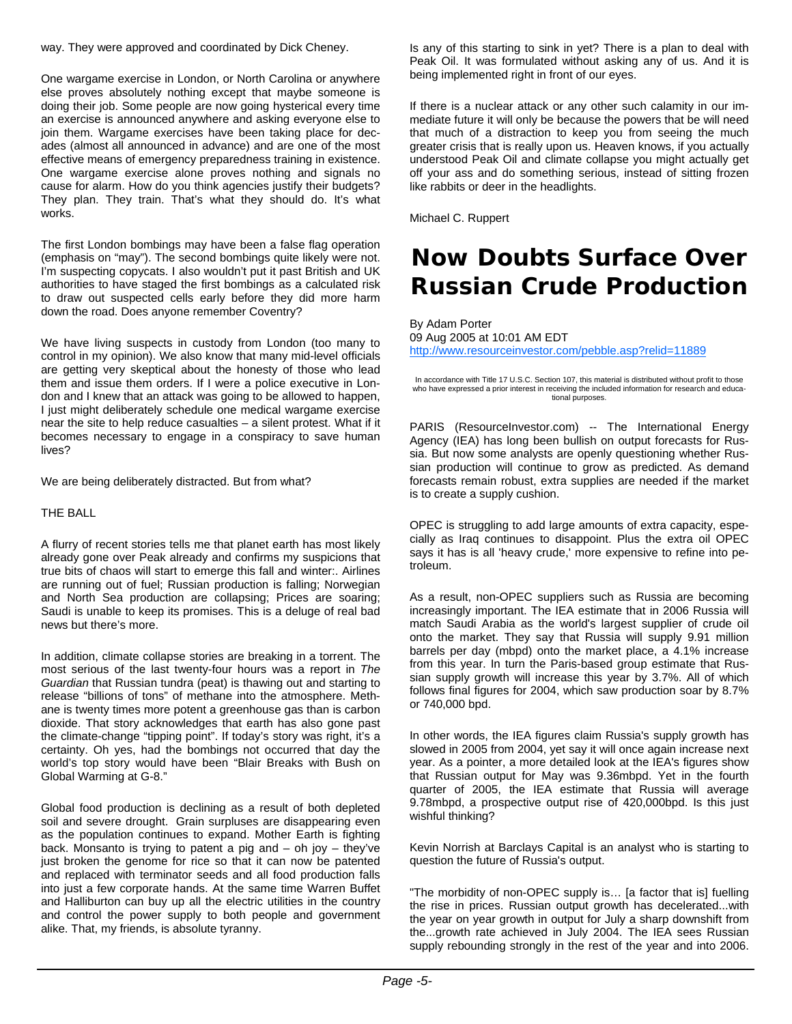way. They were approved and coordinated by Dick Cheney.

One wargame exercise in London, or North Carolina or anywhere else proves absolutely nothing except that maybe someone is doing their job. Some people are now going hysterical every time an exercise is announced anywhere and asking everyone else to join them. Wargame exercises have been taking place for decades (almost all announced in advance) and are one of the most effective means of emergency preparedness training in existence. One wargame exercise alone proves nothing and signals no cause for alarm. How do you think agencies justify their budgets? They plan. They train. That's what they should do. It's what works.

The first London bombings may have been a false flag operation (emphasis on "may"). The second bombings quite likely were not. I'm suspecting copycats. I also wouldn't put it past British and UK authorities to have staged the first bombings as a calculated risk to draw out suspected cells early before they did more harm down the road. Does anyone remember Coventry?

We have living suspects in custody from London (too many to control in my opinion). We also know that many mid-level officials are getting very skeptical about the honesty of those who lead them and issue them orders. If I were a police executive in London and I knew that an attack was going to be allowed to happen, I just might deliberately schedule one medical wargame exercise near the site to help reduce casualties – a silent protest. What if it becomes necessary to engage in a conspiracy to save human lives?

We are being deliberately distracted. But from what?

#### THE BALL

A flurry of recent stories tells me that planet earth has most likely already gone over Peak already and confirms my suspicions that true bits of chaos will start to emerge this fall and winter:. Airlines are running out of fuel; Russian production is falling; Norwegian and North Sea production are collapsing; Prices are soaring; Saudi is unable to keep its promises. This is a deluge of real bad news but there's more.

In addition, climate collapse stories are breaking in a torrent. The most serious of the last twenty-four hours was a report in *The Guardian* that Russian tundra (peat) is thawing out and starting to release "billions of tons" of methane into the atmosphere. Methane is twenty times more potent a greenhouse gas than is carbon dioxide. That story acknowledges that earth has also gone past the climate-change "tipping point". If today's story was right, it's a certainty. Oh yes, had the bombings not occurred that day the world's top story would have been "Blair Breaks with Bush on Global Warming at G-8."

Global food production is declining as a result of both depleted soil and severe drought. Grain surpluses are disappearing even as the population continues to expand. Mother Earth is fighting back. Monsanto is trying to patent a pig and  $-$  oh joy  $-$  they've just broken the genome for rice so that it can now be patented and replaced with terminator seeds and all food production falls into just a few corporate hands. At the same time Warren Buffet and Halliburton can buy up all the electric utilities in the country and control the power supply to both people and government alike. That, my friends, is absolute tyranny.

Is any of this starting to sink in yet? There is a plan to deal with Peak Oil. It was formulated without asking any of us. And it is being implemented right in front of our eyes.

If there is a nuclear attack or any other such calamity in our immediate future it will only be because the powers that be will need that much of a distraction to keep you from seeing the much greater crisis that is really upon us. Heaven knows, if you actually understood Peak Oil and climate collapse you might actually get off your ass and do something serious, instead of sitting frozen like rabbits or deer in the headlights.

Michael C. Ruppert

## **Now Doubts Surface Over Russian Crude Production**

By Adam Porter 09 Aug 2005 at 10:01 AM EDT http://www.resourceinvestor.com/pebble.asp?relid=11889

In accordance with Title 17 U.S.C. Section 107, this material is distributed without profit to those who have expressed a prior interest in receiving the included information for research and educational purposes.

PARIS (ResourceInvestor.com) -- The International Energy Agency (IEA) has long been bullish on output forecasts for Russia. But now some analysts are openly questioning whether Russian production will continue to grow as predicted. As demand forecasts remain robust, extra supplies are needed if the market is to create a supply cushion.

OPEC is struggling to add large amounts of extra capacity, especially as Iraq continues to disappoint. Plus the extra oil OPEC says it has is all 'heavy crude,' more expensive to refine into petroleum.

As a result, non-OPEC suppliers such as Russia are becoming increasingly important. The IEA estimate that in 2006 Russia will match Saudi Arabia as the world's largest supplier of crude oil onto the market. They say that Russia will supply 9.91 million barrels per day (mbpd) onto the market place, a 4.1% increase from this year. In turn the Paris-based group estimate that Russian supply growth will increase this year by 3.7%. All of which follows final figures for 2004, which saw production soar by 8.7% or 740,000 bpd.

In other words, the IEA figures claim Russia's supply growth has slowed in 2005 from 2004, yet say it will once again increase next year. As a pointer, a more detailed look at the IEA's figures show that Russian output for May was 9.36mbpd. Yet in the fourth quarter of 2005, the IEA estimate that Russia will average 9.78mbpd, a prospective output rise of 420,000bpd. Is this just wishful thinking?

Kevin Norrish at Barclays Capital is an analyst who is starting to question the future of Russia's output.

"The morbidity of non-OPEC supply is… [a factor that is] fuelling the rise in prices. Russian output growth has decelerated...with the year on year growth in output for July a sharp downshift from the...growth rate achieved in July 2004. The IEA sees Russian supply rebounding strongly in the rest of the year and into 2006.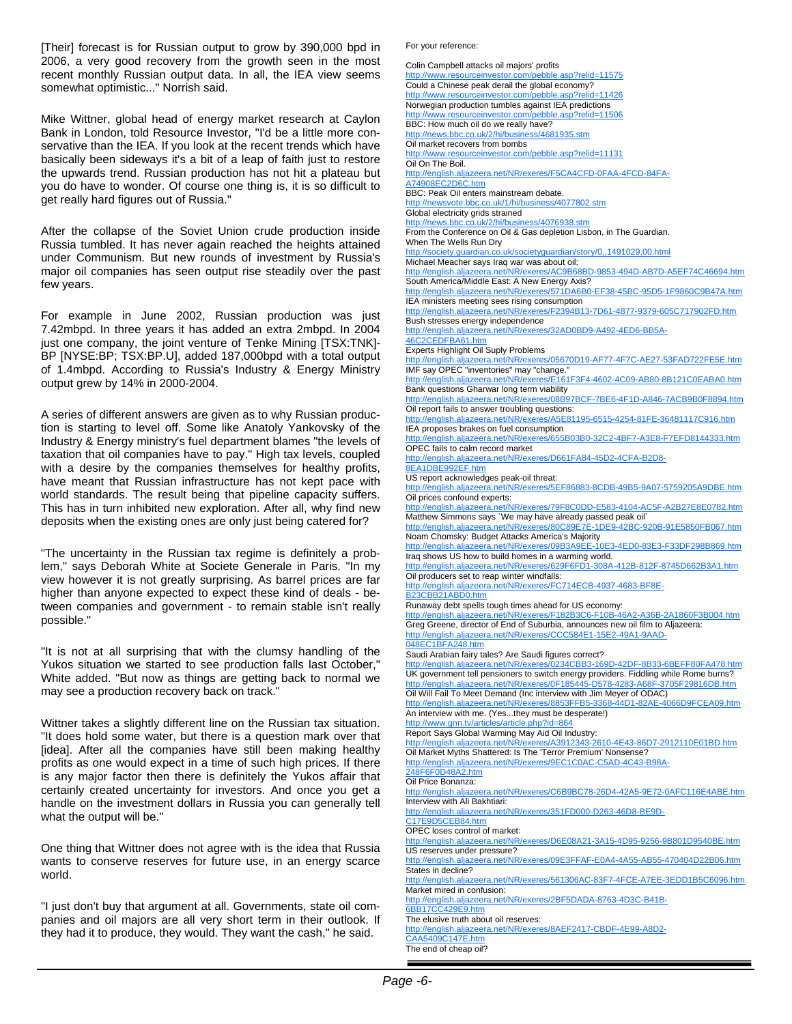[Their] forecast is for Russian output to grow by 390,000 bpd in 2006, a very good recovery from the growth seen in the most recent monthly Russian output data. In all, the IEA view seems somewhat optimistic..." Norrish said.

Mike Wittner, global head of energy market research at Caylon Bank in London, told Resource Investor, "I'd be a little more conservative than the IEA. If you look at the recent trends which have basically been sideways it's a bit of a leap of faith just to restore the upwards trend. Russian production has not hit a plateau but you do have to wonder. Of course one thing is, it is so difficult to get really hard figures out of Russia."

After the collapse of the Soviet Union crude production inside Russia tumbled. It has never again reached the heights attained under Communism. But new rounds of investment by Russia's major oil companies has seen output rise steadily over the past few years.

For example in June 2002, Russian production was just 7.42mbpd. In three years it has added an extra 2mbpd. In 2004 just one company, the joint venture of Tenke Mining [TSX:TNK]-BP [NYSE:BP; TSX:BP.U], added 187,000bpd with a total output of 1.4mbpd. According to Russia's Industry & Energy Ministry output grew by 14% in 2000-2004.

A series of different answers are given as to why Russian production is starting to level off. Some like Anatoly Yankovsky of the Industry & Energy ministry's fuel department blames "the levels of taxation that oil companies have to pay." High tax levels, coupled with a desire by the companies themselves for healthy profits, have meant that Russian infrastructure has not kept pace with world standards. The result being that pipeline capacity suffers. This has in turn inhibited new exploration. After all, why find new deposits when the existing ones are only just being catered for?

"The uncertainty in the Russian tax regime is definitely a problem," says Deborah White at Societe Generale in Paris. "In my view however it is not greatly surprising. As barrel prices are far higher than anyone expected to expect these kind of deals - between companies and government - to remain stable isn't really possible."

"It is not at all surprising that with the clumsy handling of the Yukos situation we started to see production falls last October," White added. "But now as things are getting back to normal we may see a production recovery back on track."

Wittner takes a slightly different line on the Russian tax situation. "It does hold some water, but there is a question mark over that [idea]. After all the companies have still been making healthy profits as one would expect in a time of such high prices. If there is any major factor then there is definitely the Yukos affair that certainly created uncertainty for investors. And once you get a handle on the investment dollars in Russia you can generally tell what the output will be."

One thing that Wittner does not agree with is the idea that Russia wants to conserve reserves for future use, in an energy scarce world.

"I just don't buy that argument at all. Governments, state oil companies and oil majors are all very short term in their outlook. If they had it to produce, they would. They want the cash," he said.

For your reference:

Colin Campbell attacks oil majors' profits http://www.resourceinvestor.com/pebble.asp?relid=11575 Could a Chinese peak derail the global economy? http://www.resourceinvestor.com/pebble.asp?relid=11426 Norwegian production tumbles against IEA predictions ww.resourceinvestor.com/pebble.asp?relid=11506 BBC: How much oil do we really have?<br>http://news.bbc.co.uk/2/hi/business/4681935.stm http://news.bbc.co.uk/2/hi/busi Oil market recovers from bombs http://www.resourceinvestor.com/pebble.asp?relid=11131 Oil On The Boil. http://english.aljazeera.net/NR/exeres/F5CA4CFD-0FAA-4FCD-84FA-A74908EC2D6C.htm BBC: Peak Oil enters mainstream debate. http://newsvote.bbc.co.uk/1/hi/business/4077802.stm Global electricity grids strained http://news.bbc.co.uk/2/hi/business/4076938.stm From the Conference on Oil & Gas depletion Lisbon, in The Guardian. When The Wells Run Dry .uk/societyguardian/story/0,,1491029,00.html Michael Meacher says Iraq war was about oil; http://english.aljazeera.net/NR/exeres/AC9B68BD-9853-494D-AB7D-A5EF74C46694.htm South America/Middle East: A New Energy Axis? http://english.aljazeera.net/NR/exeres/571DA6B0-EF38-45BC-95D5-1F9860C9B47A.htm IEA ministers meeting sees rising consumption http://english.aljazeera.net/NR/exeres/F2394B13-7D61-4877-9379-605C717902FD.htm Bush stresses energy independence http://english.aljazeera.net/NR/exeres/32AD0BD9-A492-4ED6-BB5A-2CEDERA61.htm Experts Highlight Oil Suply Problems http://english.aljazeera.net/NR/exeres/05670D19-AF77-4F7C-AE27-53FAD722FE5E.htm IMF say OPEC "inventories" may "change." http://english.aljazeera.net/NR/exeres/E161F3F4-4602-4C09-AB80-8B121C0EABA0.htm Bank questions Gharwar long term viability http://english.aljazeera.net/NR/exeres/08B97BCF-7BE6-4F1D-A846-7ACB9B0F8894.htm Oil report fails to answer troubling questions: http://english.aljazeera.net/NR/exeres/A5E81195-6515-4254-81FE-36481117C916.htm IEA proposes brakes on fuel consumption dish.aljazeera.net/NR/exeres/655B03B0-32C2-4BF7-A3E8-F7EFD8144333.htm OPEC fails to calm record market http://english.aljazeera.net/NR/exeres/D661FA84-45D2-4CFA-B2D8- 8EA1DBE992EF.htm US report acknowledges peak-oil threat: ://english.aljazeera.net/NR/exeres/5EF86883-8CDB-49B5-9A07-5759205A9DBE.htm Oil prices confound experts: http://english.aljazeera.net/NR/exeres/79F8C0DD-E583-4104-AC5F-A2B27E8E0782.htm Matthew Simmons says `We may have already passed peak oil` http://english.aljazeera.net/NR/exeres/80C89E7E-1DE9-42BC-920B-91E5850FB067.htm Noam Chomsky: Budget Attacks America's Majority sh.aljazeera.net/NR/exeres/09B3A9EE-10E3-4ED0-83E3-F33DF298B869.htm Iraq shows US how to build homes in a warming world. //english.aljazeera.net/NR/exeres/629F6FD1-308A-412B-812F-8745D662B3A1.htm Oil producers set to reap winter windfalls: http://english.aljazeera.net/NR/exeres/FC714ECB-4937-4683-BF8E-B23CBB21ABD0.htm Runaway debt spells tough times ahead for US economy: http://english.aljazeera.net/NR/exeres/F182B3C6-F10B-46A2-A36B-2A1860F3B004.htm Greg Greene, director of End of Suburbia, announces new oil film to Aljazeera: http://english.aljazeera.net/NR/exeres/CCC584E1-15E2-49A1-9AAD-048EC1BFA248.htm Saudi Arabian fairy tales? Are Saudi figures correct? http://english.aljazeera.net/NR/exeres/0234CBB3-169D-42DF-8B33-6BEFF80FA478.htm UK government tell pensioners to switch energy providers. Fiddling while Rome burns? http://english.aljazeera.net/NR/exeres/0F185445-D578-4283-A68F-3705F29816DB.htm Oil Will Fail To Meet Demand (Inc interview with Jim Meyer of ODAC) http://english.aljazeera.net/NR/exeres/8853FFB5-3368-44D1-82AE-4066D9FCEA09.htm An interview with me. (Yes...they must be desperate!) http://www.gnn.tv/articles/article.php?id=864 Report Says Global Warming May Aid Oil Industry: http://english.aljazeera.net/NR/exeres/A3912343-2610-4E43-86D7-2912110E01BD.htm Oil Market Myths Shattered: Is The 'Terror Premium' Nonsense? http://english.aljazeera.net/NR/exeres/9EC1C0AC-C5AD-4C43-B98A-248F6F0D48A2.htm Oil Price Bonanza: lish.aljazeera.net/NR/exeres/C6B9BC78-26D4-42A5-9E72-0AFC116E4ABE.htm Interview with Ali Bakhtiari: http://english.aljazeera.net/NR/exeres/351FD000-D263-46D8-BE9D-C17E9D5CEB84.htm OPEC loses control of market: http://english.aljazeera.net/NR/exeres/D6E08A21-3A15-4D95-9256-9B801D9540BE.htm US reserves under pressure? http://english.aljazeera.net/NR/exeres/09E3FFAF-E0A4-4A55-AB55-470404D22B06.htm States in decline? http://english.aljazeera.net/NR/exeres/561306AC-83F7-4FCE-A7EE-3EDD1B5C6096.htm Market mired in confusion: http://english.aljazeera.net/NR/exeres/2BF5DADA-8763-4D3C-B41B-6BB17CC429E9.htm The elusive truth about oil reserves: http://english.aljazeera.net/NR/exeres/8AEF2417-CBDF-4E99-A8D2-

CAA5409C147E.htm The end of cheap oil?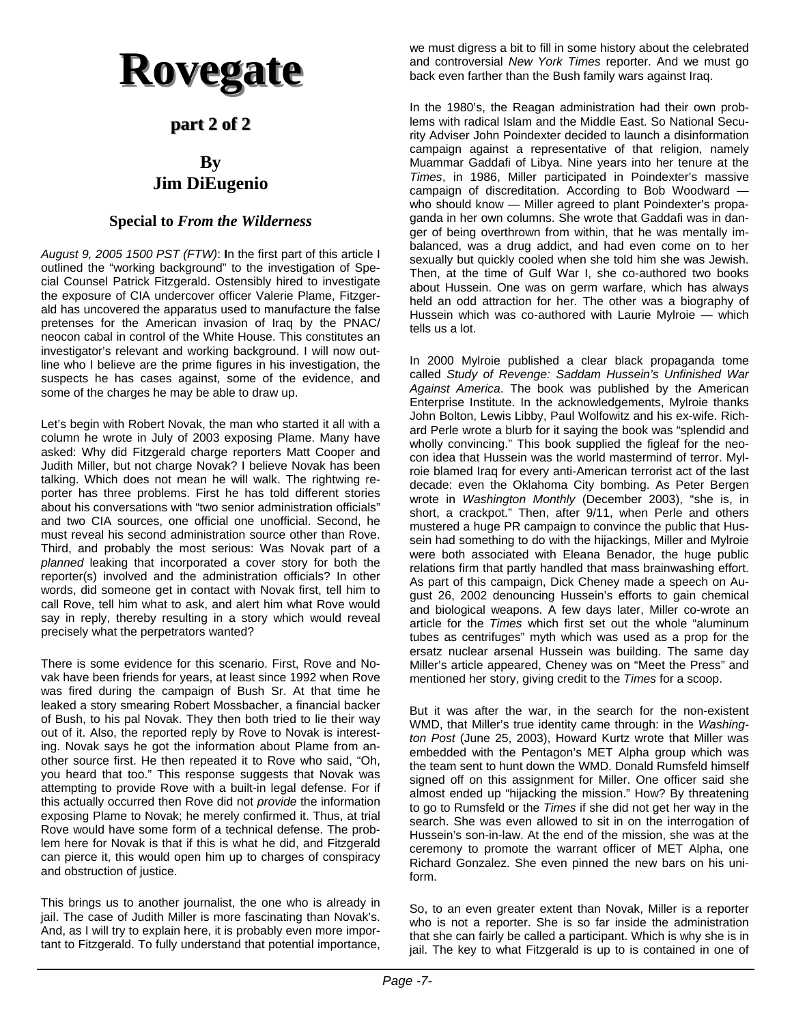# **Rovegate Rovegate**

## **part 2 of 2 part 2 of 2**

## **By Jim DiEugenio**

### **Special to** *From the Wilderness*

*August 9, 2005 1500 PST (FTW)*: **I**n the first part of this article I outlined the "working background" to the investigation of Special Counsel Patrick Fitzgerald. Ostensibly hired to investigate the exposure of CIA undercover officer Valerie Plame, Fitzgerald has uncovered the apparatus used to manufacture the false pretenses for the American invasion of Iraq by the PNAC/ neocon cabal in control of the White House. This constitutes an investigator's relevant and working background. I will now outline who I believe are the prime figures in his investigation, the suspects he has cases against, some of the evidence, and some of the charges he may be able to draw up.

Let's begin with Robert Novak, the man who started it all with a column he wrote in July of 2003 exposing Plame. Many have asked: Why did Fitzgerald charge reporters Matt Cooper and Judith Miller, but not charge Novak? I believe Novak has been talking. Which does not mean he will walk. The rightwing reporter has three problems. First he has told different stories about his conversations with "two senior administration officials" and two CIA sources, one official one unofficial. Second, he must reveal his second administration source other than Rove. Third, and probably the most serious: Was Novak part of a *planned* leaking that incorporated a cover story for both the reporter(s) involved and the administration officials? In other words, did someone get in contact with Novak first, tell him to call Rove, tell him what to ask, and alert him what Rove would say in reply, thereby resulting in a story which would reveal precisely what the perpetrators wanted?

There is some evidence for this scenario. First, Rove and Novak have been friends for years, at least since 1992 when Rove was fired during the campaign of Bush Sr. At that time he leaked a story smearing Robert Mossbacher, a financial backer of Bush, to his pal Novak. They then both tried to lie their way out of it. Also, the reported reply by Rove to Novak is interesting. Novak says he got the information about Plame from another source first. He then repeated it to Rove who said, "Oh, you heard that too." This response suggests that Novak was attempting to provide Rove with a built-in legal defense. For if this actually occurred then Rove did not *provide* the information exposing Plame to Novak; he merely confirmed it. Thus, at trial Rove would have some form of a technical defense. The problem here for Novak is that if this is what he did, and Fitzgerald can pierce it, this would open him up to charges of conspiracy and obstruction of justice.

This brings us to another journalist, the one who is already in jail. The case of Judith Miller is more fascinating than Novak's. And, as I will try to explain here, it is probably even more important to Fitzgerald. To fully understand that potential importance, we must digress a bit to fill in some history about the celebrated and controversial *New York Times* reporter. And we must go back even farther than the Bush family wars against Iraq.

In the 1980's, the Reagan administration had their own problems with radical Islam and the Middle East. So National Security Adviser John Poindexter decided to launch a disinformation campaign against a representative of that religion, namely Muammar Gaddafi of Libya. Nine years into her tenure at the *Times*, in 1986, Miller participated in Poindexter's massive campaign of discreditation. According to Bob Woodward who should know — Miller agreed to plant Poindexter's propaganda in her own columns. She wrote that Gaddafi was in danger of being overthrown from within, that he was mentally imbalanced, was a drug addict, and had even come on to her sexually but quickly cooled when she told him she was Jewish. Then, at the time of Gulf War I, she co-authored two books about Hussein. One was on germ warfare, which has always held an odd attraction for her. The other was a biography of Hussein which was co-authored with Laurie Mylroie — which tells us a lot.

In 2000 Mylroie published a clear black propaganda tome called *Study of Revenge: Saddam Hussein's Unfinished War Against America*. The book was published by the American Enterprise Institute. In the acknowledgements, Mylroie thanks John Bolton, Lewis Libby, Paul Wolfowitz and his ex-wife. Richard Perle wrote a blurb for it saying the book was "splendid and wholly convincing." This book supplied the figleaf for the neocon idea that Hussein was the world mastermind of terror. Mylroie blamed Iraq for every anti-American terrorist act of the last decade: even the Oklahoma City bombing. As Peter Bergen wrote in *Washington Monthly* (December 2003), "she is, in short, a crackpot." Then, after 9/11, when Perle and others mustered a huge PR campaign to convince the public that Hussein had something to do with the hijackings, Miller and Mylroie were both associated with Eleana Benador, the huge public relations firm that partly handled that mass brainwashing effort. As part of this campaign, Dick Cheney made a speech on August 26, 2002 denouncing Hussein's efforts to gain chemical and biological weapons. A few days later, Miller co-wrote an article for the *Times* which first set out the whole "aluminum tubes as centrifuges" myth which was used as a prop for the ersatz nuclear arsenal Hussein was building. The same day Miller's article appeared, Cheney was on "Meet the Press" and mentioned her story, giving credit to the *Times* for a scoop.

But it was after the war, in the search for the non-existent WMD, that Miller's true identity came through: in the *Washington Post* (June 25, 2003), Howard Kurtz wrote that Miller was embedded with the Pentagon's MET Alpha group which was the team sent to hunt down the WMD. Donald Rumsfeld himself signed off on this assignment for Miller. One officer said she almost ended up "hijacking the mission." How? By threatening to go to Rumsfeld or the *Times* if she did not get her way in the search. She was even allowed to sit in on the interrogation of Hussein's son-in-law. At the end of the mission, she was at the ceremony to promote the warrant officer of MET Alpha, one Richard Gonzalez. She even pinned the new bars on his uniform.

So, to an even greater extent than Novak, Miller is a reporter who is not a reporter. She is so far inside the administration that she can fairly be called a participant. Which is why she is in jail. The key to what Fitzgerald is up to is contained in one of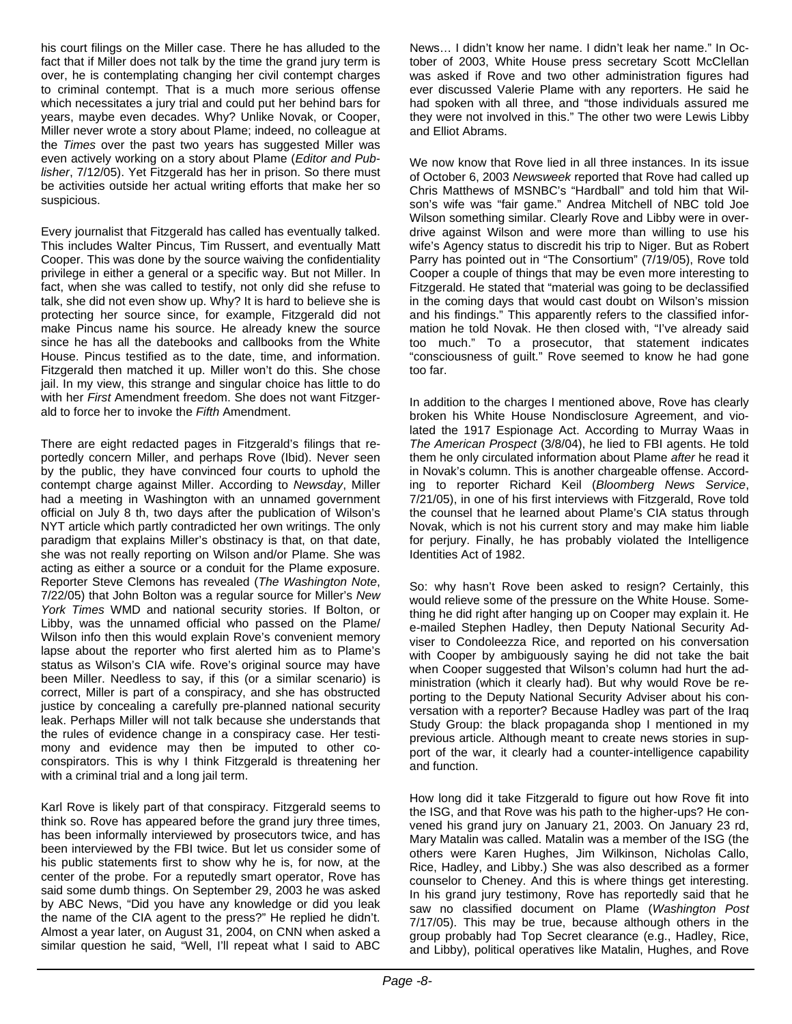his court filings on the Miller case. There he has alluded to the fact that if Miller does not talk by the time the grand jury term is over, he is contemplating changing her civil contempt charges to criminal contempt. That is a much more serious offense which necessitates a jury trial and could put her behind bars for years, maybe even decades. Why? Unlike Novak, or Cooper, Miller never wrote a story about Plame; indeed, no colleague at the *Times* over the past two years has suggested Miller was even actively working on a story about Plame (*Editor and Publisher*, 7/12/05). Yet Fitzgerald has her in prison. So there must be activities outside her actual writing efforts that make her so suspicious.

Every journalist that Fitzgerald has called has eventually talked. This includes Walter Pincus, Tim Russert, and eventually Matt Cooper. This was done by the source waiving the confidentiality privilege in either a general or a specific way. But not Miller. In fact, when she was called to testify, not only did she refuse to talk, she did not even show up. Why? It is hard to believe she is protecting her source since, for example, Fitzgerald did not make Pincus name his source. He already knew the source since he has all the datebooks and callbooks from the White House. Pincus testified as to the date, time, and information. Fitzgerald then matched it up. Miller won't do this. She chose jail. In my view, this strange and singular choice has little to do with her *First* Amendment freedom. She does not want Fitzgerald to force her to invoke the *Fifth* Amendment.

There are eight redacted pages in Fitzgerald's filings that reportedly concern Miller, and perhaps Rove (Ibid). Never seen by the public, they have convinced four courts to uphold the contempt charge against Miller. According to *Newsday*, Miller had a meeting in Washington with an unnamed government official on July 8 th, two days after the publication of Wilson's NYT article which partly contradicted her own writings. The only paradigm that explains Miller's obstinacy is that, on that date, she was not really reporting on Wilson and/or Plame. She was acting as either a source or a conduit for the Plame exposure. Reporter Steve Clemons has revealed (*The Washington Note*, 7/22/05) that John Bolton was a regular source for Miller's *New York Times* WMD and national security stories. If Bolton, or Libby, was the unnamed official who passed on the Plame/ Wilson info then this would explain Rove's convenient memory lapse about the reporter who first alerted him as to Plame's status as Wilson's CIA wife. Rove's original source may have been Miller. Needless to say, if this (or a similar scenario) is correct, Miller is part of a conspiracy, and she has obstructed justice by concealing a carefully pre-planned national security leak. Perhaps Miller will not talk because she understands that the rules of evidence change in a conspiracy case. Her testimony and evidence may then be imputed to other coconspirators. This is why I think Fitzgerald is threatening her with a criminal trial and a long jail term.

Karl Rove is likely part of that conspiracy. Fitzgerald seems to think so. Rove has appeared before the grand jury three times, has been informally interviewed by prosecutors twice, and has been interviewed by the FBI twice. But let us consider some of his public statements first to show why he is, for now, at the center of the probe. For a reputedly smart operator, Rove has said some dumb things. On September 29, 2003 he was asked by ABC News, "Did you have any knowledge or did you leak the name of the CIA agent to the press?" He replied he didn't. Almost a year later, on August 31, 2004, on CNN when asked a similar question he said, "Well, I'll repeat what I said to ABC

News… I didn't know her name. I didn't leak her name." In October of 2003, White House press secretary Scott McClellan was asked if Rove and two other administration figures had ever discussed Valerie Plame with any reporters. He said he had spoken with all three, and "those individuals assured me they were not involved in this." The other two were Lewis Libby and Elliot Abrams.

We now know that Rove lied in all three instances. In its issue of October 6, 2003 *Newsweek* reported that Rove had called up Chris Matthews of MSNBC's "Hardball" and told him that Wilson's wife was "fair game." Andrea Mitchell of NBC told Joe Wilson something similar. Clearly Rove and Libby were in overdrive against Wilson and were more than willing to use his wife's Agency status to discredit his trip to Niger. But as Robert Parry has pointed out in "The Consortium" (7/19/05), Rove told Cooper a couple of things that may be even more interesting to Fitzgerald. He stated that "material was going to be declassified in the coming days that would cast doubt on Wilson's mission and his findings." This apparently refers to the classified information he told Novak. He then closed with, "I've already said too much." To a prosecutor, that statement indicates "consciousness of guilt." Rove seemed to know he had gone too far.

In addition to the charges I mentioned above, Rove has clearly broken his White House Nondisclosure Agreement, and violated the 1917 Espionage Act. According to Murray Waas in *The American Prospect* (3/8/04), he lied to FBI agents. He told them he only circulated information about Plame *after* he read it in Novak's column. This is another chargeable offense. According to reporter Richard Keil (*Bloomberg News Service*, 7/21/05), in one of his first interviews with Fitzgerald, Rove told the counsel that he learned about Plame's CIA status through Novak, which is not his current story and may make him liable for perjury. Finally, he has probably violated the Intelligence Identities Act of 1982.

So: why hasn't Rove been asked to resign? Certainly, this would relieve some of the pressure on the White House. Something he did right after hanging up on Cooper may explain it. He e-mailed Stephen Hadley, then Deputy National Security Adviser to Condoleezza Rice, and reported on his conversation with Cooper by ambiguously saying he did not take the bait when Cooper suggested that Wilson's column had hurt the administration (which it clearly had). But why would Rove be reporting to the Deputy National Security Adviser about his conversation with a reporter? Because Hadley was part of the Iraq Study Group: the black propaganda shop I mentioned in my previous article. Although meant to create news stories in support of the war, it clearly had a counter-intelligence capability and function.

How long did it take Fitzgerald to figure out how Rove fit into the ISG, and that Rove was his path to the higher-ups? He convened his grand jury on January 21, 2003. On January 23 rd, Mary Matalin was called. Matalin was a member of the ISG (the others were Karen Hughes, Jim Wilkinson, Nicholas Callo, Rice, Hadley, and Libby.) She was also described as a former counselor to Cheney. And this is where things get interesting. In his grand jury testimony, Rove has reportedly said that he saw no classified document on Plame (*Washington Post* 7/17/05). This may be true, because although others in the group probably had Top Secret clearance (e.g., Hadley, Rice, and Libby), political operatives like Matalin, Hughes, and Rove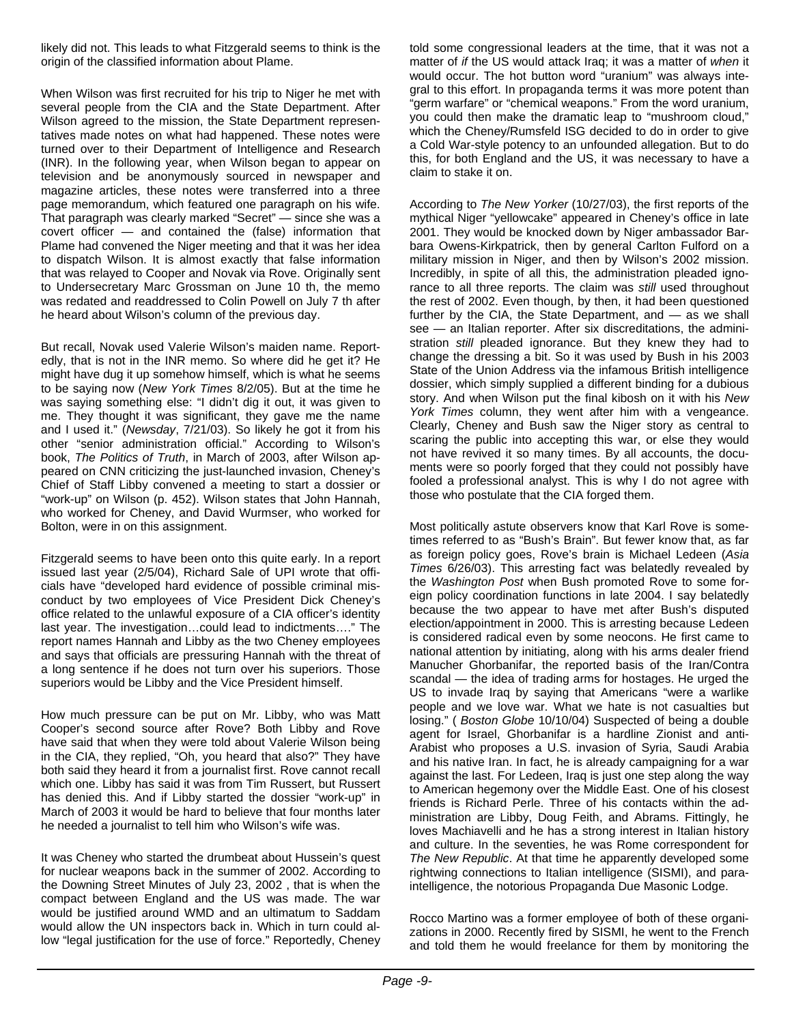likely did not. This leads to what Fitzgerald seems to think is the origin of the classified information about Plame.

When Wilson was first recruited for his trip to Niger he met with several people from the CIA and the State Department. After Wilson agreed to the mission, the State Department representatives made notes on what had happened. These notes were turned over to their Department of Intelligence and Research (INR). In the following year, when Wilson began to appear on television and be anonymously sourced in newspaper and magazine articles, these notes were transferred into a three page memorandum, which featured one paragraph on his wife. That paragraph was clearly marked "Secret" — since she was a covert officer — and contained the (false) information that Plame had convened the Niger meeting and that it was her idea to dispatch Wilson. It is almost exactly that false information that was relayed to Cooper and Novak via Rove. Originally sent to Undersecretary Marc Grossman on June 10 th, the memo was redated and readdressed to Colin Powell on July 7 th after he heard about Wilson's column of the previous day.

But recall, Novak used Valerie Wilson's maiden name. Reportedly, that is not in the INR memo. So where did he get it? He might have dug it up somehow himself, which is what he seems to be saying now (*New York Times* 8/2/05). But at the time he was saying something else: "I didn't dig it out, it was given to me. They thought it was significant, they gave me the name and I used it." (*Newsday*, 7/21/03). So likely he got it from his other "senior administration official." According to Wilson's book, *The Politics of Truth*, in March of 2003, after Wilson appeared on CNN criticizing the just-launched invasion, Cheney's Chief of Staff Libby convened a meeting to start a dossier or "work-up" on Wilson (p. 452). Wilson states that John Hannah, who worked for Cheney, and David Wurmser, who worked for Bolton, were in on this assignment.

Fitzgerald seems to have been onto this quite early. In a report issued last year (2/5/04), Richard Sale of UPI wrote that officials have "developed hard evidence of possible criminal misconduct by two employees of Vice President Dick Cheney's office related to the unlawful exposure of a CIA officer's identity last year. The investigation…could lead to indictments…." The report names Hannah and Libby as the two Cheney employees and says that officials are pressuring Hannah with the threat of a long sentence if he does not turn over his superiors. Those superiors would be Libby and the Vice President himself.

How much pressure can be put on Mr. Libby, who was Matt Cooper's second source after Rove? Both Libby and Rove have said that when they were told about Valerie Wilson being in the CIA, they replied, "Oh, you heard that also?" They have both said they heard it from a journalist first. Rove cannot recall which one. Libby has said it was from Tim Russert, but Russert has denied this. And if Libby started the dossier "work-up" in March of 2003 it would be hard to believe that four months later he needed a journalist to tell him who Wilson's wife was.

It was Cheney who started the drumbeat about Hussein's quest for nuclear weapons back in the summer of 2002. According to the Downing Street Minutes of July 23, 2002 , that is when the compact between England and the US was made. The war would be justified around WMD and an ultimatum to Saddam would allow the UN inspectors back in. Which in turn could allow "legal justification for the use of force." Reportedly, Cheney

told some congressional leaders at the time, that it was not a matter of *if* the US would attack Iraq; it was a matter of *when* it would occur. The hot button word "uranium" was always integral to this effort. In propaganda terms it was more potent than 'germ warfare" or "chemical weapons." From the word uranium, you could then make the dramatic leap to "mushroom cloud," which the Cheney/Rumsfeld ISG decided to do in order to give a Cold War-style potency to an unfounded allegation. But to do this, for both England and the US, it was necessary to have a claim to stake it on.

According to *The New Yorker* (10/27/03), the first reports of the mythical Niger "yellowcake" appeared in Cheney's office in late 2001. They would be knocked down by Niger ambassador Barbara Owens-Kirkpatrick, then by general Carlton Fulford on a military mission in Niger, and then by Wilson's 2002 mission. Incredibly, in spite of all this, the administration pleaded ignorance to all three reports. The claim was *still* used throughout the rest of 2002. Even though, by then, it had been questioned further by the CIA, the State Department, and — as we shall see — an Italian reporter. After six discreditations, the administration *still* pleaded ignorance. But they knew they had to change the dressing a bit. So it was used by Bush in his 2003 State of the Union Address via the infamous British intelligence dossier, which simply supplied a different binding for a dubious story. And when Wilson put the final kibosh on it with his *New York Times* column, they went after him with a vengeance. Clearly, Cheney and Bush saw the Niger story as central to scaring the public into accepting this war, or else they would not have revived it so many times. By all accounts, the documents were so poorly forged that they could not possibly have fooled a professional analyst. This is why I do not agree with those who postulate that the CIA forged them.

Most politically astute observers know that Karl Rove is sometimes referred to as "Bush's Brain". But fewer know that, as far as foreign policy goes, Rove's brain is Michael Ledeen (*Asia Times* 6/26/03). This arresting fact was belatedly revealed by the *Washington Post* when Bush promoted Rove to some foreign policy coordination functions in late 2004. I say belatedly because the two appear to have met after Bush's disputed election/appointment in 2000. This is arresting because Ledeen is considered radical even by some neocons. He first came to national attention by initiating, along with his arms dealer friend Manucher Ghorbanifar, the reported basis of the Iran/Contra scandal — the idea of trading arms for hostages. He urged the US to invade Iraq by saying that Americans "were a warlike people and we love war. What we hate is not casualties but losing." ( *Boston Globe* 10/10/04) Suspected of being a double agent for Israel, Ghorbanifar is a hardline Zionist and anti-Arabist who proposes a U.S. invasion of Syria, Saudi Arabia and his native Iran. In fact, he is already campaigning for a war against the last. For Ledeen, Iraq is just one step along the way to American hegemony over the Middle East. One of his closest friends is Richard Perle. Three of his contacts within the administration are Libby, Doug Feith, and Abrams. Fittingly, he loves Machiavelli and he has a strong interest in Italian history and culture. In the seventies, he was Rome correspondent for *The New Republic*. At that time he apparently developed some rightwing connections to Italian intelligence (SISMI), and paraintelligence, the notorious Propaganda Due Masonic Lodge.

Rocco Martino was a former employee of both of these organizations in 2000. Recently fired by SISMI, he went to the French and told them he would freelance for them by monitoring the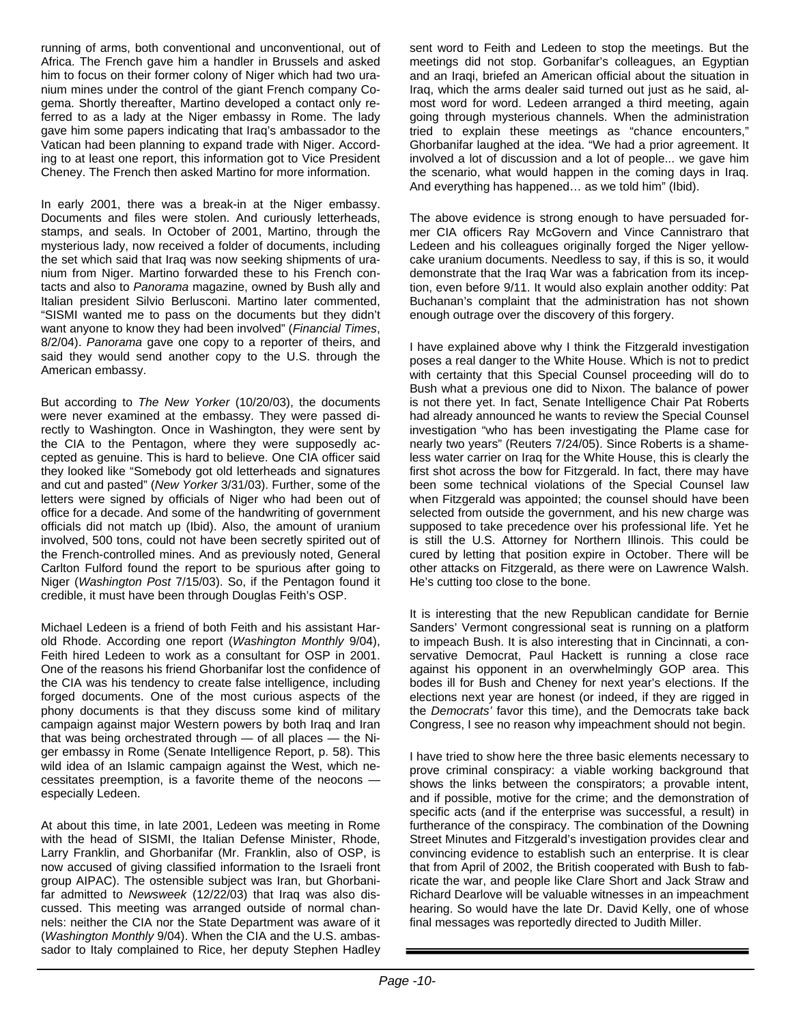running of arms, both conventional and unconventional, out of Africa. The French gave him a handler in Brussels and asked him to focus on their former colony of Niger which had two uranium mines under the control of the giant French company Cogema. Shortly thereafter, Martino developed a contact only referred to as a lady at the Niger embassy in Rome. The lady gave him some papers indicating that Iraq's ambassador to the Vatican had been planning to expand trade with Niger. According to at least one report, this information got to Vice President Cheney. The French then asked Martino for more information.

In early 2001, there was a break-in at the Niger embassy. Documents and files were stolen. And curiously letterheads, stamps, and seals. In October of 2001, Martino, through the mysterious lady, now received a folder of documents, including the set which said that Iraq was now seeking shipments of uranium from Niger. Martino forwarded these to his French contacts and also to *Panorama* magazine, owned by Bush ally and Italian president Silvio Berlusconi. Martino later commented, "SISMI wanted me to pass on the documents but they didn't want anyone to know they had been involved" (*Financial Times*, 8/2/04). *Panorama* gave one copy to a reporter of theirs, and said they would send another copy to the U.S. through the American embassy.

But according to *The New Yorker* (10/20/03), the documents were never examined at the embassy. They were passed directly to Washington. Once in Washington, they were sent by the CIA to the Pentagon, where they were supposedly accepted as genuine. This is hard to believe. One CIA officer said they looked like "Somebody got old letterheads and signatures and cut and pasted" (*New Yorker* 3/31/03). Further, some of the letters were signed by officials of Niger who had been out of office for a decade. And some of the handwriting of government officials did not match up (Ibid). Also, the amount of uranium involved, 500 tons, could not have been secretly spirited out of the French-controlled mines. And as previously noted, General Carlton Fulford found the report to be spurious after going to Niger (*Washington Post* 7/15/03). So, if the Pentagon found it credible, it must have been through Douglas Feith's OSP.

Michael Ledeen is a friend of both Feith and his assistant Harold Rhode. According one report (*Washington Monthly* 9/04), Feith hired Ledeen to work as a consultant for OSP in 2001. One of the reasons his friend Ghorbanifar lost the confidence of the CIA was his tendency to create false intelligence, including forged documents. One of the most curious aspects of the phony documents is that they discuss some kind of military campaign against major Western powers by both Iraq and Iran that was being orchestrated through — of all places — the Niger embassy in Rome (Senate Intelligence Report, p. 58). This wild idea of an Islamic campaign against the West, which necessitates preemption, is a favorite theme of the neocons especially Ledeen.

At about this time, in late 2001, Ledeen was meeting in Rome with the head of SISMI, the Italian Defense Minister, Rhode, Larry Franklin, and Ghorbanifar (Mr. Franklin, also of OSP, is now accused of giving classified information to the Israeli front group AIPAC). The ostensible subject was Iran, but Ghorbanifar admitted to *Newsweek* (12/22/03) that Iraq was also discussed. This meeting was arranged outside of normal channels: neither the CIA nor the State Department was aware of it (*Washington Monthly* 9/04). When the CIA and the U.S. ambassador to Italy complained to Rice, her deputy Stephen Hadley sent word to Feith and Ledeen to stop the meetings. But the meetings did not stop. Gorbanifar's colleagues, an Egyptian and an Iraqi, briefed an American official about the situation in Iraq, which the arms dealer said turned out just as he said, almost word for word. Ledeen arranged a third meeting, again going through mysterious channels. When the administration tried to explain these meetings as "chance encounters," Ghorbanifar laughed at the idea. "We had a prior agreement. It involved a lot of discussion and a lot of people... we gave him the scenario, what would happen in the coming days in Iraq. And everything has happened… as we told him" (Ibid).

The above evidence is strong enough to have persuaded former CIA officers Ray McGovern and Vince Cannistraro that Ledeen and his colleagues originally forged the Niger yellowcake uranium documents. Needless to say, if this is so, it would demonstrate that the Iraq War was a fabrication from its inception, even before 9/11. It would also explain another oddity: Pat Buchanan's complaint that the administration has not shown enough outrage over the discovery of this forgery.

I have explained above why I think the Fitzgerald investigation poses a real danger to the White House. Which is not to predict with certainty that this Special Counsel proceeding will do to Bush what a previous one did to Nixon. The balance of power is not there yet. In fact, Senate Intelligence Chair Pat Roberts had already announced he wants to review the Special Counsel investigation "who has been investigating the Plame case for nearly two years" (Reuters 7/24/05). Since Roberts is a shameless water carrier on Iraq for the White House, this is clearly the first shot across the bow for Fitzgerald. In fact, there may have been some technical violations of the Special Counsel law when Fitzgerald was appointed; the counsel should have been selected from outside the government, and his new charge was supposed to take precedence over his professional life. Yet he is still the U.S. Attorney for Northern Illinois. This could be cured by letting that position expire in October. There will be other attacks on Fitzgerald, as there were on Lawrence Walsh. He's cutting too close to the bone.

It is interesting that the new Republican candidate for Bernie Sanders' Vermont congressional seat is running on a platform to impeach Bush. It is also interesting that in Cincinnati, a conservative Democrat, Paul Hackett is running a close race against his opponent in an overwhelmingly GOP area. This bodes ill for Bush and Cheney for next year's elections. If the elections next year are honest (or indeed, if they are rigged in the *Democrats'* favor this time), and the Democrats take back Congress, I see no reason why impeachment should not begin.

I have tried to show here the three basic elements necessary to prove criminal conspiracy: a viable working background that shows the links between the conspirators; a provable intent, and if possible, motive for the crime; and the demonstration of specific acts (and if the enterprise was successful, a result) in furtherance of the conspiracy. The combination of the Downing Street Minutes and Fitzgerald's investigation provides clear and convincing evidence to establish such an enterprise. It is clear that from April of 2002, the British cooperated with Bush to fabricate the war, and people like Clare Short and Jack Straw and Richard Dearlove will be valuable witnesses in an impeachment hearing. So would have the late Dr. David Kelly, one of whose final messages was reportedly directed to Judith Miller.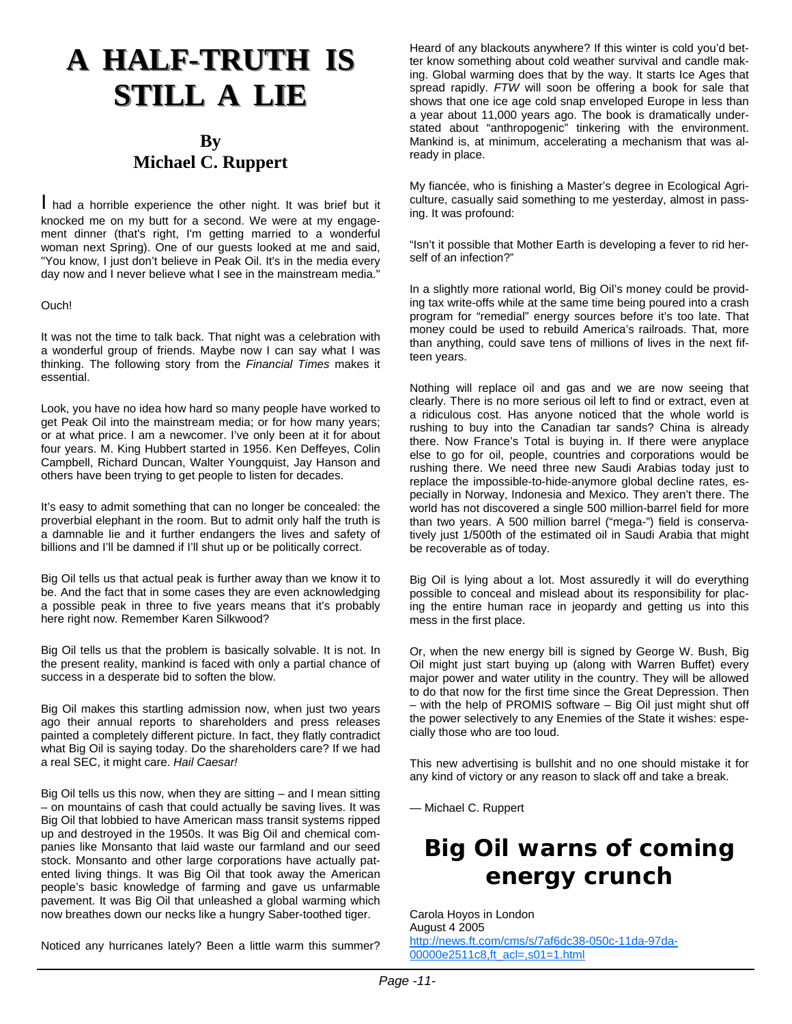## **A HALF-TRUTH IS STILL A LIE**

## **By Michael C. Ruppert**

I had a horrible experience the other night. It was brief but it knocked me on my butt for a second. We were at my engagement dinner (that's right, I'm getting married to a wonderful woman next Spring). One of our guests looked at me and said, "You know, I just don't believe in Peak Oil. It's in the media every day now and I never believe what I see in the mainstream media."

#### Ouch!

It was not the time to talk back. That night was a celebration with a wonderful group of friends. Maybe now I can say what I was thinking. The following story from the *Financial Times* makes it essential.

Look, you have no idea how hard so many people have worked to get Peak Oil into the mainstream media; or for how many years; or at what price. I am a newcomer. I've only been at it for about four years. M. King Hubbert started in 1956. Ken Deffeyes, Colin Campbell, Richard Duncan, Walter Youngquist, Jay Hanson and others have been trying to get people to listen for decades.

It's easy to admit something that can no longer be concealed: the proverbial elephant in the room. But to admit only half the truth is a damnable lie and it further endangers the lives and safety of billions and I'll be damned if I'll shut up or be politically correct.

Big Oil tells us that actual peak is further away than we know it to be. And the fact that in some cases they are even acknowledging a possible peak in three to five years means that it's probably here right now. Remember Karen Silkwood?

Big Oil tells us that the problem is basically solvable. It is not. In the present reality, mankind is faced with only a partial chance of success in a desperate bid to soften the blow.

Big Oil makes this startling admission now, when just two years ago their annual reports to shareholders and press releases painted a completely different picture. In fact, they flatly contradict what Big Oil is saying today. Do the shareholders care? If we had a real SEC, it might care. *Hail Caesar!*

Big Oil tells us this now, when they are sitting – and I mean sitting – on mountains of cash that could actually be saving lives. It was Big Oil that lobbied to have American mass transit systems ripped up and destroyed in the 1950s. It was Big Oil and chemical companies like Monsanto that laid waste our farmland and our seed stock. Monsanto and other large corporations have actually patented living things. It was Big Oil that took away the American people's basic knowledge of farming and gave us unfarmable pavement. It was Big Oil that unleashed a global warming which now breathes down our necks like a hungry Saber-toothed tiger.

Noticed any hurricanes lately? Been a little warm this summer?

Heard of any blackouts anywhere? If this winter is cold you'd better know something about cold weather survival and candle making. Global warming does that by the way. It starts Ice Ages that spread rapidly. *FTW* will soon be offering a book for sale that shows that one ice age cold snap enveloped Europe in less than a year about 11,000 years ago. The book is dramatically understated about "anthropogenic" tinkering with the environment. Mankind is, at minimum, accelerating a mechanism that was already in place.

My fiancée, who is finishing a Master's degree in Ecological Agriculture, casually said something to me yesterday, almost in passing. It was profound:

"Isn't it possible that Mother Earth is developing a fever to rid herself of an infection?"

In a slightly more rational world, Big Oil's money could be providing tax write-offs while at the same time being poured into a crash program for "remedial" energy sources before it's too late. That money could be used to rebuild America's railroads. That, more than anything, could save tens of millions of lives in the next fifteen years.

Nothing will replace oil and gas and we are now seeing that clearly. There is no more serious oil left to find or extract, even at a ridiculous cost. Has anyone noticed that the whole world is rushing to buy into the Canadian tar sands? China is already there. Now France's Total is buying in. If there were anyplace else to go for oil, people, countries and corporations would be rushing there. We need three new Saudi Arabias today just to replace the impossible-to-hide-anymore global decline rates, especially in Norway, Indonesia and Mexico. They aren't there. The world has not discovered a single 500 million-barrel field for more than two years. A 500 million barrel ("mega-") field is conservatively just 1/500th of the estimated oil in Saudi Arabia that might be recoverable as of today.

Big Oil is lying about a lot. Most assuredly it will do everything possible to conceal and mislead about its responsibility for placing the entire human race in jeopardy and getting us into this mess in the first place.

Or, when the new energy bill is signed by George W. Bush, Big Oil might just start buying up (along with Warren Buffet) every major power and water utility in the country. They will be allowed to do that now for the first time since the Great Depression. Then – with the help of PROMIS software – Big Oil just might shut off the power selectively to any Enemies of the State it wishes: especially those who are too loud.

This new advertising is bullshit and no one should mistake it for any kind of victory or any reason to slack off and take a break.

— Michael C. Ruppert

## **Big Oil warns of coming energy crunch**

Carola Hoyos in London August 4 2005 http://news.ft.com/cms/s/7af6dc38-050c-11da-97da-00000e2511c8,ft\_acl=,s01=1.html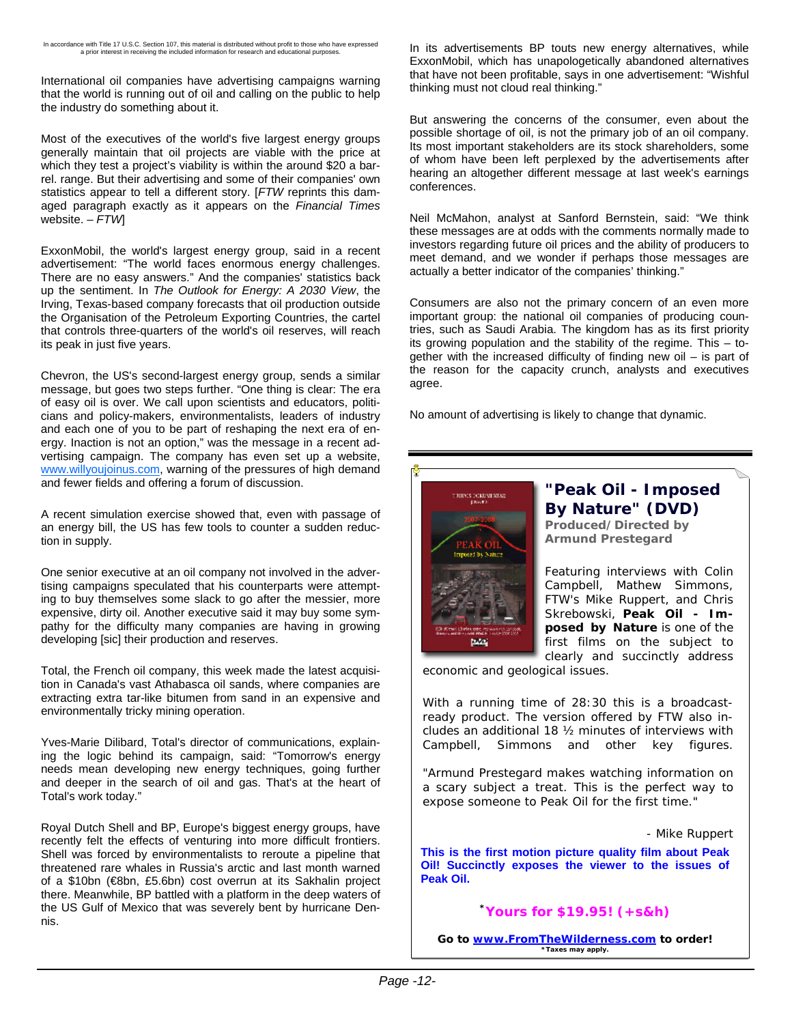International oil companies have advertising campaigns warning that the world is running out of oil and calling on the public to help the industry do something about it.

Most of the executives of the world's five largest energy groups generally maintain that oil projects are viable with the price at which they test a project's viability is within the around \$20 a barrel. range. But their advertising and some of their companies' own statistics appear to tell a different story. [*FTW* reprints this damaged paragraph exactly as it appears on the *Financial Times* website. – *FTW*]

ExxonMobil, the world's largest energy group, said in a recent advertisement: "The world faces enormous energy challenges. There are no easy answers." And the companies' statistics back up the sentiment. In *The Outlook for Energy: A 2030 View*, the Irving, Texas-based company forecasts that oil production outside the Organisation of the Petroleum Exporting Countries, the cartel that controls three-quarters of the world's oil reserves, will reach its peak in just five years.

Chevron, the US's second-largest energy group, sends a similar message, but goes two steps further. "One thing is clear: The era of easy oil is over. We call upon scientists and educators, politicians and policy-makers, environmentalists, leaders of industry and each one of you to be part of reshaping the next era of energy. Inaction is not an option," was the message in a recent advertising campaign. The company has even set up a website, www.willyoujoinus.com, warning of the pressures of high demand and fewer fields and offering a forum of discussion.

A recent simulation exercise showed that, even with passage of an energy bill, the US has few tools to counter a sudden reduction in supply.

One senior executive at an oil company not involved in the advertising campaigns speculated that his counterparts were attempting to buy themselves some slack to go after the messier, more expensive, dirty oil. Another executive said it may buy some sympathy for the difficulty many companies are having in growing developing [sic] their production and reserves.

Total, the French oil company, this week made the latest acquisition in Canada's vast Athabasca oil sands, where companies are extracting extra tar-like bitumen from sand in an expensive and environmentally tricky mining operation.

Yves-Marie Dilibard, Total's director of communications, explaining the logic behind its campaign, said: "Tomorrow's energy needs mean developing new energy techniques, going further and deeper in the search of oil and gas. That's at the heart of Total's work today."

Royal Dutch Shell and BP, Europe's biggest energy groups, have recently felt the effects of venturing into more difficult frontiers. Shell was forced by environmentalists to reroute a pipeline that threatened rare whales in Russia's arctic and last month warned of a \$10bn (€8bn, £5.6bn) cost overrun at its Sakhalin project there. Meanwhile, BP battled with a platform in the deep waters of the US Gulf of Mexico that was severely bent by hurricane Dennis.

In its advertisements BP touts new energy alternatives, while ExxonMobil, which has unapologetically abandoned alternatives that have not been profitable, says in one advertisement: "Wishful thinking must not cloud real thinking."

But answering the concerns of the consumer, even about the possible shortage of oil, is not the primary job of an oil company. Its most important stakeholders are its stock shareholders, some of whom have been left perplexed by the advertisements after hearing an altogether different message at last week's earnings conferences.

Neil McMahon, analyst at Sanford Bernstein, said: "We think these messages are at odds with the comments normally made to investors regarding future oil prices and the ability of producers to meet demand, and we wonder if perhaps those messages are actually a better indicator of the companies' thinking."

Consumers are also not the primary concern of an even more important group: the national oil companies of producing countries, such as Saudi Arabia. The kingdom has as its first priority its growing population and the stability of the regime. This – together with the increased difficulty of finding new oil – is part of the reason for the capacity crunch, analysts and executives agree.

No amount of advertising is likely to change that dynamic.



### **"Peak Oil - Imposed By Nature" (DVD)**

**Produced/Directed by Armund Prestegard**

Featuring interviews with Colin Campbell, Mathew Simmons, *FTW's* Mike Ruppert, and Chris Skrebowski, *Peak Oil - Imposed by Nature* is one of the first films on the subject to clearly and succinctly address

economic and geological issues.

With a running time of 28:30 this is a broadcastready product. The version offered by *FTW* also includes an additional 18 ½ minutes of interviews with Campbell, Simmons and other key figures.

"Armund Prestegard makes watching information on a scary subject a treat. This is the perfect way to expose someone to Peak Oil for the first time."

- Mike Ruppert

**This is the first motion picture quality film about Peak Oil! Succinctly exposes the viewer to the issues of Peak Oil.**

### **\*Yours for \$19.95! (+s&h)**

**Go to www.FromTheWilderness.com to order! \*Taxes may apply.**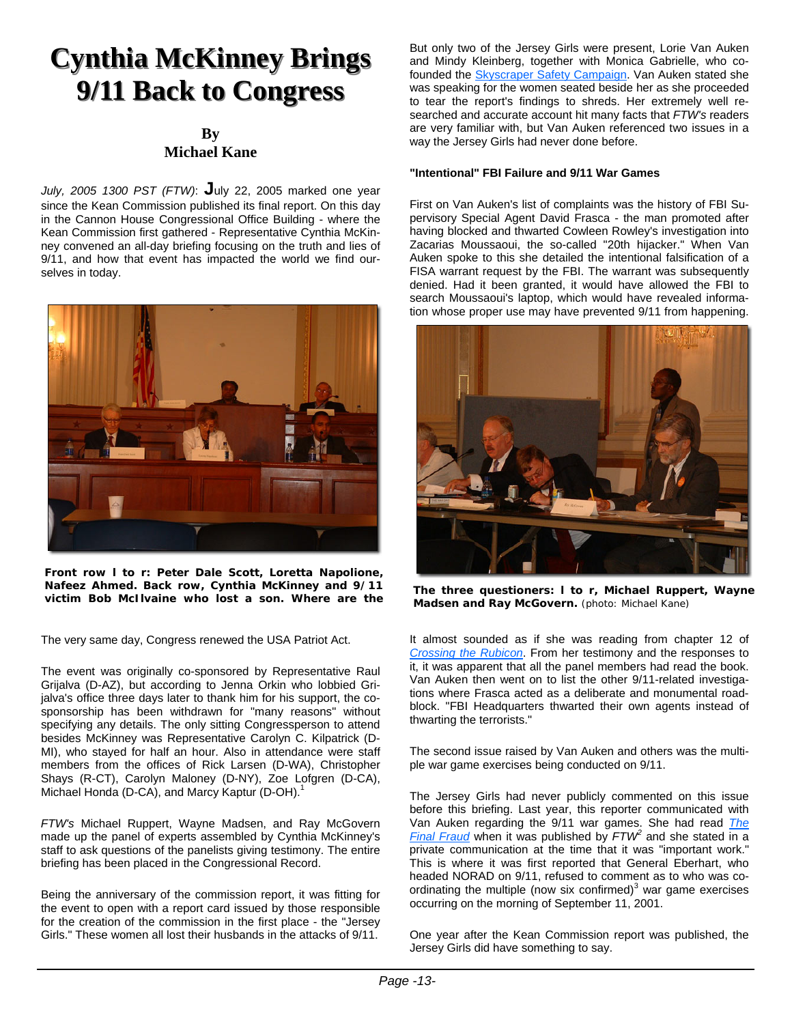## **Cynthia McKinney Brings 9/11 Back to Congress 9/11 Back to Congress**

#### **By Michael Kane**

*July, 2005 1300 PST (FTW)*: **J**uly 22, 2005 marked one year since the Kean Commission published its final report. On this day in the Cannon House Congressional Office Building - where the Kean Commission first gathered - Representative Cynthia McKinney convened an all-day briefing focusing on the truth and lies of 9/11, and how that event has impacted the world we find ourselves in today.



**Front row l to r: Peter Dale Scott, Loretta Napolione, Nafeez Ahmed. Back row, Cynthia McKinney and 9/11 victim Bob McIlvaine who lost a son. Where are the** 

The very same day, Congress renewed the USA Patriot Act.

The event was originally co-sponsored by Representative Raul Grijalva (D-AZ), but according to Jenna Orkin who lobbied Grijalva's office three days later to thank him for his support, the cosponsorship has been withdrawn for "many reasons" without specifying any details. The only sitting Congressperson to attend besides McKinney was Representative Carolyn C. Kilpatrick (D-MI), who stayed for half an hour. Also in attendance were staff members from the offices of Rick Larsen (D-WA), Christopher Shays (R-CT), Carolyn Maloney (D-NY), Zoe Lofgren (D-CA), Michael Honda (D-CA), and Marcy Kaptur (D-OH).<sup>1</sup>

*FTW's* Michael Ruppert, Wayne Madsen, and Ray McGovern made up the panel of experts assembled by Cynthia McKinney's staff to ask questions of the panelists giving testimony. The entire briefing has been placed in the Congressional Record.

Being the anniversary of the commission report, it was fitting for the event to open with a report card issued by those responsible for the creation of the commission in the first place - the "Jersey Girls." These women all lost their husbands in the attacks of 9/11.

But only two of the Jersey Girls were present, Lorie Van Auken and Mindy Kleinberg, together with Monica Gabrielle, who cofounded the Skyscraper Safety Campaign. Van Auken stated she was speaking for the women seated beside her as she proceeded to tear the report's findings to shreds. Her extremely well researched and accurate account hit many facts that *FTW's* readers are very familiar with, but Van Auken referenced two issues in a way the Jersey Girls had never done before.

#### **"Intentional" FBI Failure and 9/11 War Games**

First on Van Auken's list of complaints was the history of FBI Supervisory Special Agent David Frasca - the man promoted after having blocked and thwarted Cowleen Rowley's investigation into Zacarias Moussaoui, the so-called "20th hijacker." When Van Auken spoke to this she detailed the intentional falsification of a FISA warrant request by the FBI. The warrant was subsequently denied. Had it been granted, it would have allowed the FBI to search Moussaoui's laptop, which would have revealed information whose proper use may have prevented 9/11 from happening.



**The three questioners: l to r, Michael Ruppert, Wayne Madsen and Ray McGovern.** (photo: Michael Kane)

It almost sounded as if she was reading from chapter 12 of *Crossing the Rubicon*. From her testimony and the responses to it, it was apparent that all the panel members had read the book. Van Auken then went on to list the other 9/11-related investigations where Frasca acted as a deliberate and monumental roadblock. "FBI Headquarters thwarted their own agents instead of thwarting the terrorists."

The second issue raised by Van Auken and others was the multiple war game exercises being conducted on 9/11.

The Jersey Girls had never publicly commented on this issue before this briefing. Last year, this reporter communicated with Van Auken regarding the 9/11 war games. She had read *The Final Fraud* when it was published by *FTW<sup>2</sup>* and she stated in a private communication at the time that it was "important work." This is where it was first reported that General Eberhart, who headed NORAD on 9/11, refused to comment as to who was coordinating the multiple (now six confirmed) $3$  war game exercises occurring on the morning of September 11, 2001.

One year after the Kean Commission report was published, the Jersey Girls did have something to say.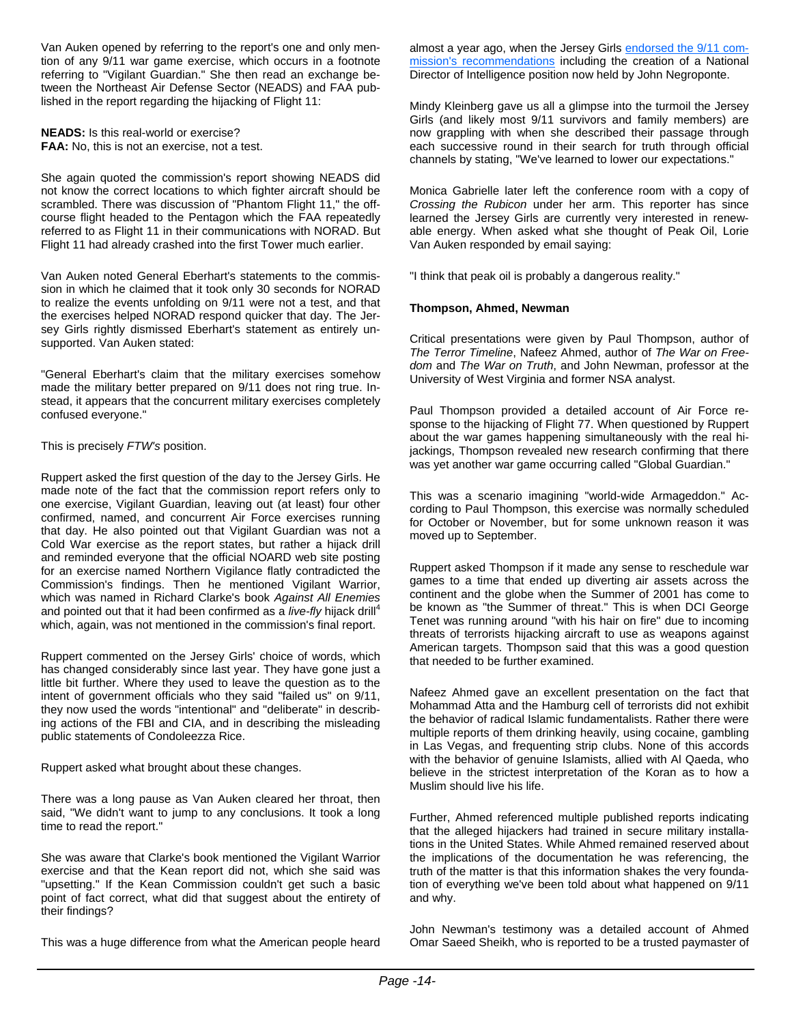Van Auken opened by referring to the report's one and only mention of any 9/11 war game exercise, which occurs in a footnote referring to "Vigilant Guardian." She then read an exchange between the Northeast Air Defense Sector (NEADS) and FAA published in the report regarding the hijacking of Flight 11:

**NEADS:** Is this real-world or exercise? **FAA:** No, this is not an exercise, not a test.

She again quoted the commission's report showing NEADS did not know the correct locations to which fighter aircraft should be scrambled. There was discussion of "Phantom Flight 11," the offcourse flight headed to the Pentagon which the FAA repeatedly referred to as Flight 11 in their communications with NORAD. But Flight 11 had already crashed into the first Tower much earlier.

Van Auken noted General Eberhart's statements to the commission in which he claimed that it took only 30 seconds for NORAD to realize the events unfolding on 9/11 were not a test, and that the exercises helped NORAD respond quicker that day. The Jersey Girls rightly dismissed Eberhart's statement as entirely unsupported. Van Auken stated:

"General Eberhart's claim that the military exercises somehow made the military better prepared on 9/11 does not ring true. Instead, it appears that the concurrent military exercises completely confused everyone."

This is precisely *FTW's* position.

Ruppert asked the first question of the day to the Jersey Girls. He made note of the fact that the commission report refers only to one exercise, Vigilant Guardian, leaving out (at least) four other confirmed, named, and concurrent Air Force exercises running that day. He also pointed out that Vigilant Guardian was not a Cold War exercise as the report states, but rather a hijack drill and reminded everyone that the official NOARD web site posting for an exercise named Northern Vigilance flatly contradicted the Commission's findings. Then he mentioned Vigilant Warrior, which was named in Richard Clarke's book *Against All Enemies* and pointed out that it had been confirmed as a *live-fly* hijack drill<sup>4</sup> which, again, was not mentioned in the commission's final report.

Ruppert commented on the Jersey Girls' choice of words, which has changed considerably since last year. They have gone just a little bit further. Where they used to leave the question as to the intent of government officials who they said "failed us" on 9/11, they now used the words "intentional" and "deliberate" in describing actions of the FBI and CIA, and in describing the misleading public statements of Condoleezza Rice.

Ruppert asked what brought about these changes.

There was a long pause as Van Auken cleared her throat, then said, "We didn't want to jump to any conclusions. It took a long time to read the report."

She was aware that Clarke's book mentioned the Vigilant Warrior exercise and that the Kean report did not, which she said was "upsetting." If the Kean Commission couldn't get such a basic point of fact correct, what did that suggest about the entirety of their findings?

This was a huge difference from what the American people heard

almost a year ago, when the Jersey Girls endorsed the 9/11 commission's recommendations including the creation of a National Director of Intelligence position now held by John Negroponte.

Mindy Kleinberg gave us all a glimpse into the turmoil the Jersey Girls (and likely most 9/11 survivors and family members) are now grappling with when she described their passage through each successive round in their search for truth through official channels by stating, "We've learned to lower our expectations."

Monica Gabrielle later left the conference room with a copy of *Crossing the Rubicon* under her arm. This reporter has since learned the Jersey Girls are currently very interested in renewable energy. When asked what she thought of Peak Oil, Lorie Van Auken responded by email saying:

"I think that peak oil is probably a dangerous reality."

#### **Thompson, Ahmed, Newman**

Critical presentations were given by Paul Thompson, author of *The Terror Timeline*, Nafeez Ahmed, author of *The War on Freedom* and *The War on Truth*, and John Newman, professor at the University of West Virginia and former NSA analyst.

Paul Thompson provided a detailed account of Air Force response to the hijacking of Flight 77. When questioned by Ruppert about the war games happening simultaneously with the real hiiackings, Thompson revealed new research confirming that there was yet another war game occurring called "Global Guardian."

This was a scenario imagining "world-wide Armageddon." According to Paul Thompson, this exercise was normally scheduled for October or November, but for some unknown reason it was moved up to September.

Ruppert asked Thompson if it made any sense to reschedule war games to a time that ended up diverting air assets across the continent and the globe when the Summer of 2001 has come to be known as "the Summer of threat." This is when DCI George Tenet was running around "with his hair on fire" due to incoming threats of terrorists hijacking aircraft to use as weapons against American targets. Thompson said that this was a good question that needed to be further examined.

Nafeez Ahmed gave an excellent presentation on the fact that Mohammad Atta and the Hamburg cell of terrorists did not exhibit the behavior of radical Islamic fundamentalists. Rather there were multiple reports of them drinking heavily, using cocaine, gambling in Las Vegas, and frequenting strip clubs. None of this accords with the behavior of genuine Islamists, allied with Al Qaeda, who believe in the strictest interpretation of the Koran as to how a Muslim should live his life.

Further, Ahmed referenced multiple published reports indicating that the alleged hijackers had trained in secure military installations in the United States. While Ahmed remained reserved about the implications of the documentation he was referencing, the truth of the matter is that this information shakes the very foundation of everything we've been told about what happened on 9/11 and why.

John Newman's testimony was a detailed account of Ahmed Omar Saeed Sheikh, who is reported to be a trusted paymaster of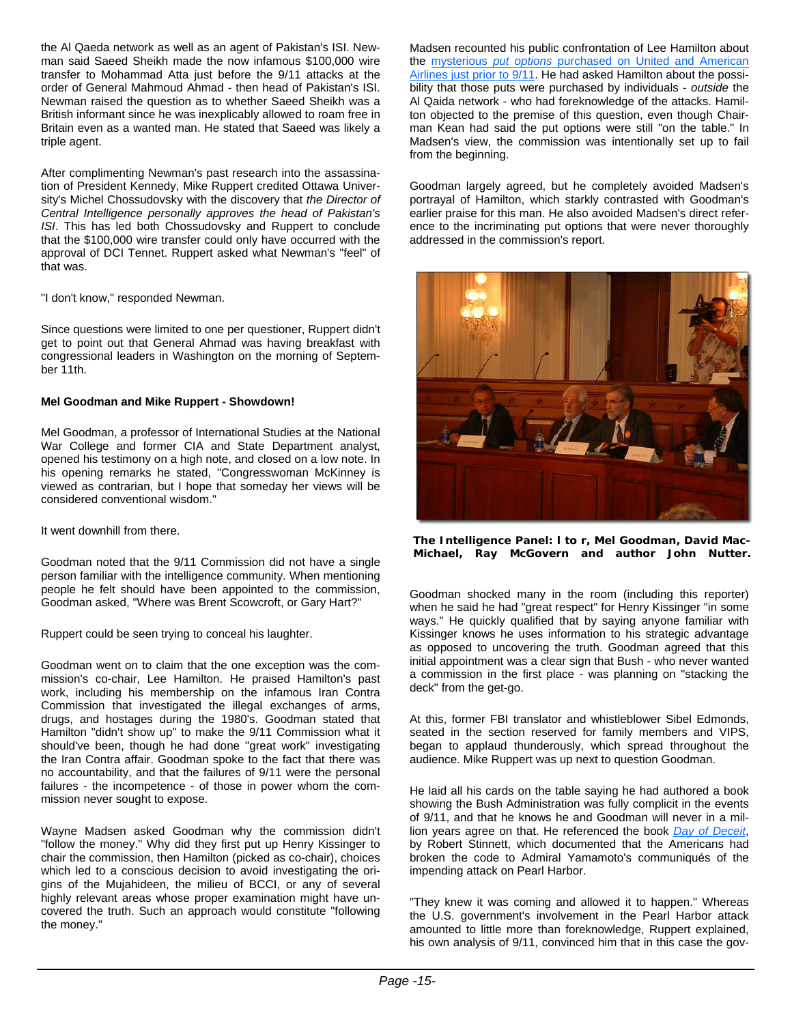the Al Qaeda network as well as an agent of Pakistan's ISI. Newman said Saeed Sheikh made the now infamous \$100,000 wire transfer to Mohammad Atta just before the 9/11 attacks at the order of General Mahmoud Ahmad - then head of Pakistan's ISI. Newman raised the question as to whether Saeed Sheikh was a British informant since he was inexplicably allowed to roam free in Britain even as a wanted man. He stated that Saeed was likely a triple agent.

After complimenting Newman's past research into the assassination of President Kennedy, Mike Ruppert credited Ottawa University's Michel Chossudovsky with the discovery that *the Director of Central Intelligence personally approves the head of Pakistan's ISI*. This has led both Chossudovsky and Ruppert to conclude that the \$100,000 wire transfer could only have occurred with the approval of DCI Tennet. Ruppert asked what Newman's "feel" of that was.

"I don't know," responded Newman.

Since questions were limited to one per questioner, Ruppert didn't get to point out that General Ahmad was having breakfast with congressional leaders in Washington on the morning of September 11th.

#### **Mel Goodman and Mike Ruppert - Showdown!**

Mel Goodman, a professor of International Studies at the National War College and former CIA and State Department analyst, opened his testimony on a high note, and closed on a low note. In his opening remarks he stated, "Congresswoman McKinney is viewed as contrarian, but I hope that someday her views will be considered conventional wisdom."

It went downhill from there.

Goodman noted that the 9/11 Commission did not have a single person familiar with the intelligence community. When mentioning people he felt should have been appointed to the commission, Goodman asked, "Where was Brent Scowcroft, or Gary Hart?"

Ruppert could be seen trying to conceal his laughter.

Goodman went on to claim that the one exception was the commission's co-chair, Lee Hamilton. He praised Hamilton's past work, including his membership on the infamous Iran Contra Commission that investigated the illegal exchanges of arms, drugs, and hostages during the 1980's. Goodman stated that Hamilton "didn't show up" to make the 9/11 Commission what it should've been, though he had done "great work" investigating the Iran Contra affair. Goodman spoke to the fact that there was no accountability, and that the failures of 9/11 were the personal failures - the incompetence - of those in power whom the commission never sought to expose.

Wayne Madsen asked Goodman why the commission didn't "follow the money." Why did they first put up Henry Kissinger to chair the commission, then Hamilton (picked as co-chair), choices which led to a conscious decision to avoid investigating the origins of the Mujahideen, the milieu of BCCI, or any of several highly relevant areas whose proper examination might have uncovered the truth. Such an approach would constitute "following the money."

Madsen recounted his public confrontation of Lee Hamilton about the mysterious *put options* purchased on United and American Airlines just prior to 9/11. He had asked Hamilton about the possibility that those puts were purchased by individuals - *outside* the Al Qaida network - who had foreknowledge of the attacks. Hamilton objected to the premise of this question, even though Chairman Kean had said the put options were still "on the table." In Madsen's view, the commission was intentionally set up to fail from the beginning.

Goodman largely agreed, but he completely avoided Madsen's portrayal of Hamilton, which starkly contrasted with Goodman's earlier praise for this man. He also avoided Madsen's direct reference to the incriminating put options that were never thoroughly addressed in the commission's report.



**The Intelligence Panel: l to r, Mel Goodman, David Mac-Michael, Ray McGovern and author John Nutter.** 

Goodman shocked many in the room (including this reporter) when he said he had "great respect" for Henry Kissinger "in some ways." He quickly qualified that by saying anyone familiar with Kissinger knows he uses information to his strategic advantage as opposed to uncovering the truth. Goodman agreed that this initial appointment was a clear sign that Bush - who never wanted a commission in the first place - was planning on "stacking the deck" from the get-go.

At this, former FBI translator and whistleblower Sibel Edmonds, seated in the section reserved for family members and VIPS, began to applaud thunderously, which spread throughout the audience. Mike Ruppert was up next to question Goodman.

He laid all his cards on the table saying he had authored a book showing the Bush Administration was fully complicit in the events of 9/11, and that he knows he and Goodman will never in a million years agree on that. He referenced the book *Day of Deceit*, by Robert Stinnett, which documented that the Americans had broken the code to Admiral Yamamoto's communiqués of the impending attack on Pearl Harbor.

"They knew it was coming and allowed it to happen." Whereas the U.S. government's involvement in the Pearl Harbor attack amounted to little more than foreknowledge, Ruppert explained, his own analysis of 9/11, convinced him that in this case the gov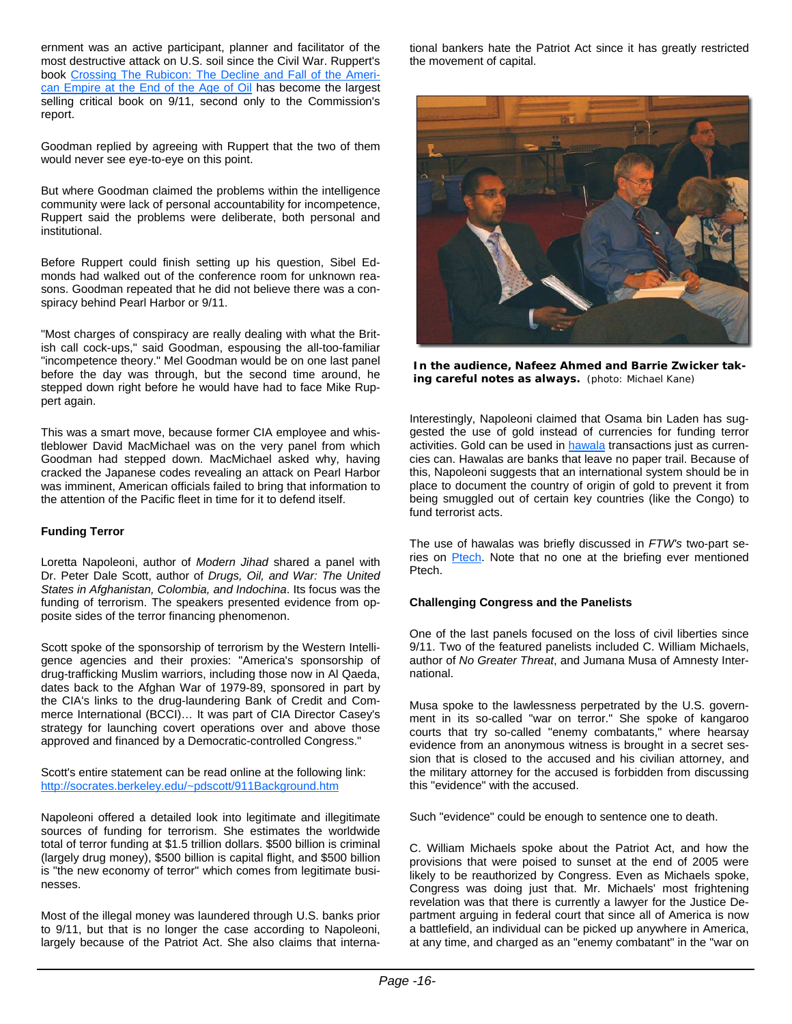ernment was an active participant, planner and facilitator of the most destructive attack on U.S. soil since the Civil War. Ruppert's book Crossing The Rubicon: The Decline and Fall of the American Empire at the End of the Age of Oil has become the largest selling critical book on 9/11, second only to the Commission's report.

Goodman replied by agreeing with Ruppert that the two of them would never see eye-to-eye on this point.

But where Goodman claimed the problems within the intelligence community were lack of personal accountability for incompetence, Ruppert said the problems were deliberate, both personal and institutional.

Before Ruppert could finish setting up his question, Sibel Edmonds had walked out of the conference room for unknown reasons. Goodman repeated that he did not believe there was a conspiracy behind Pearl Harbor or 9/11.

"Most charges of conspiracy are really dealing with what the British call cock-ups," said Goodman, espousing the all-too-familiar "incompetence theory." Mel Goodman would be on one last panel before the day was through, but the second time around, he stepped down right before he would have had to face Mike Ruppert again.

This was a smart move, because former CIA employee and whistleblower David MacMichael was on the very panel from which Goodman had stepped down. MacMichael asked why, having cracked the Japanese codes revealing an attack on Pearl Harbor was imminent, American officials failed to bring that information to the attention of the Pacific fleet in time for it to defend itself.

#### **Funding Terror**

Loretta Napoleoni, author of *Modern Jihad* shared a panel with Dr. Peter Dale Scott, author of *Drugs, Oil, and War: The United States in Afghanistan, Colombia, and Indochina*. Its focus was the funding of terrorism. The speakers presented evidence from opposite sides of the terror financing phenomenon.

Scott spoke of the sponsorship of terrorism by the Western Intelligence agencies and their proxies: "America's sponsorship of drug-trafficking Muslim warriors, including those now in Al Qaeda, dates back to the Afghan War of 1979-89, sponsored in part by the CIA's links to the drug-laundering Bank of Credit and Commerce International (BCCI)… It was part of CIA Director Casey's strategy for launching covert operations over and above those approved and financed by a Democratic-controlled Congress."

Scott's entire statement can be read online at the following link: http://socrates.berkeley.edu/~pdscott/911Background.htm

Napoleoni offered a detailed look into legitimate and illegitimate sources of funding for terrorism. She estimates the worldwide total of terror funding at \$1.5 trillion dollars. \$500 billion is criminal (largely drug money), \$500 billion is capital flight, and \$500 billion is "the new economy of terror" which comes from legitimate businesses.

Most of the illegal money was laundered through U.S. banks prior to 9/11, but that is no longer the case according to Napoleoni, largely because of the Patriot Act. She also claims that international bankers hate the Patriot Act since it has greatly restricted the movement of capital.



**In the audience, Nafeez Ahmed and Barrie Zwicker taking careful notes as always.** (photo: Michael Kane)

Interestingly, Napoleoni claimed that Osama bin Laden has suggested the use of gold instead of currencies for funding terror activities. Gold can be used in **hawala** transactions just as currencies can. Hawalas are banks that leave no paper trail. Because of this, Napoleoni suggests that an international system should be in place to document the country of origin of gold to prevent it from being smuggled out of certain key countries (like the Congo) to fund terrorist acts.

The use of hawalas was briefly discussed in *FTW's* two-part series on Ptech. Note that no one at the briefing ever mentioned Ptech.

#### **Challenging Congress and the Panelists**

One of the last panels focused on the loss of civil liberties since 9/11. Two of the featured panelists included C. William Michaels, author of *No Greater Threat*, and Jumana Musa of Amnesty International.

Musa spoke to the lawlessness perpetrated by the U.S. government in its so-called "war on terror." She spoke of kangaroo courts that try so-called "enemy combatants," where hearsay evidence from an anonymous witness is brought in a secret session that is closed to the accused and his civilian attorney, and the military attorney for the accused is forbidden from discussing this "evidence" with the accused.

Such "evidence" could be enough to sentence one to death.

C. William Michaels spoke about the Patriot Act, and how the provisions that were poised to sunset at the end of 2005 were likely to be reauthorized by Congress. Even as Michaels spoke, Congress was doing just that. Mr. Michaels' most frightening revelation was that there is currently a lawyer for the Justice Department arguing in federal court that since all of America is now a battlefield, an individual can be picked up anywhere in America, at any time, and charged as an "enemy combatant" in the "war on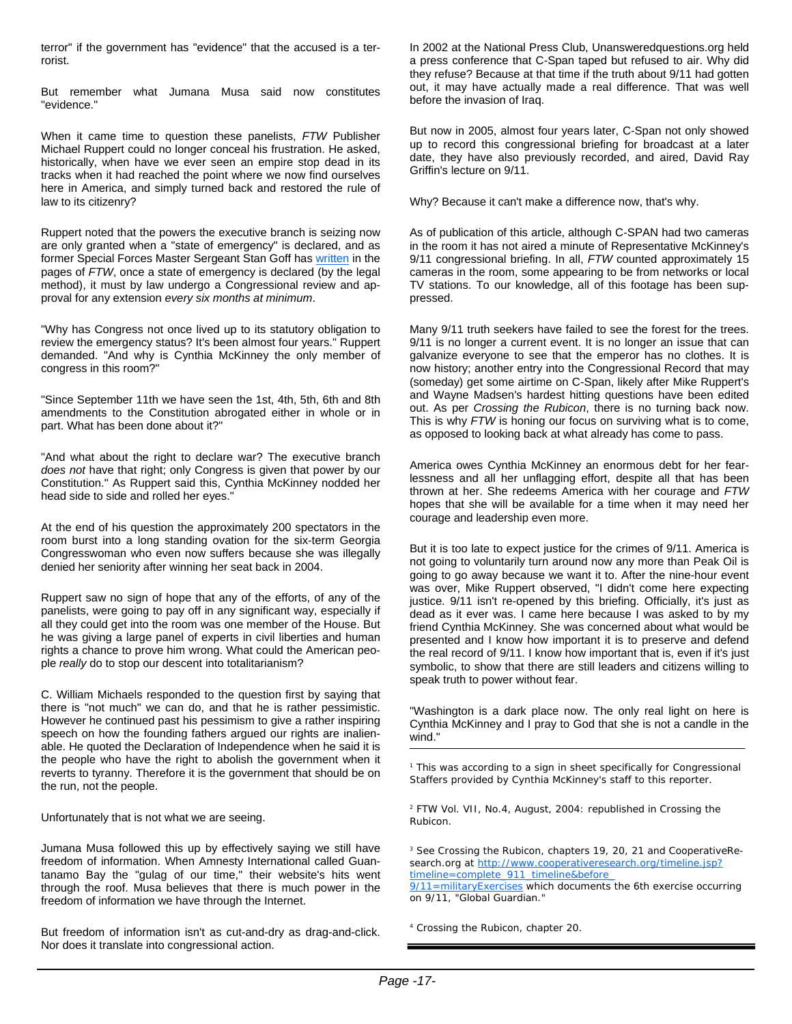terror" if the government has "evidence" that the accused is a terrorist.

But remember what Jumana Musa said now constitutes "evidence."

When it came time to question these panelists, *FTW* Publisher Michael Ruppert could no longer conceal his frustration. He asked, historically, when have we ever seen an empire stop dead in its tracks when it had reached the point where we now find ourselves here in America, and simply turned back and restored the rule of law to its citizenry?

Ruppert noted that the powers the executive branch is seizing now are only granted when a "state of emergency" is declared, and as former Special Forces Master Sergeant Stan Goff has written in the pages of *FTW*, once a state of emergency is declared (by the legal method), it must by law undergo a Congressional review and approval for any extension *every six months at minimum*.

"Why has Congress not once lived up to its statutory obligation to review the emergency status? It's been almost four years." Ruppert demanded. "And why is Cynthia McKinney the only member of congress in this room?"

"Since September 11th we have seen the 1st, 4th, 5th, 6th and 8th amendments to the Constitution abrogated either in whole or in part. What has been done about it?"

"And what about the right to declare war? The executive branch *does not* have that right; only Congress is given that power by our Constitution." As Ruppert said this, Cynthia McKinney nodded her head side to side and rolled her eyes."

At the end of his question the approximately 200 spectators in the room burst into a long standing ovation for the six-term Georgia Congresswoman who even now suffers because she was illegally denied her seniority after winning her seat back in 2004.

Ruppert saw no sign of hope that any of the efforts, of any of the panelists, were going to pay off in any significant way, especially if all they could get into the room was one member of the House. But he was giving a large panel of experts in civil liberties and human rights a chance to prove him wrong. What could the American people *really* do to stop our descent into totalitarianism?

C. William Michaels responded to the question first by saying that there is "not much" we can do, and that he is rather pessimistic. However he continued past his pessimism to give a rather inspiring speech on how the founding fathers argued our rights are inalienable. He quoted the Declaration of Independence when he said it is the people who have the right to abolish the government when it reverts to tyranny. Therefore it is the government that should be on the run, not the people.

Unfortunately that is not what we are seeing.

Jumana Musa followed this up by effectively saying we still have freedom of information. When Amnesty International called Guantanamo Bay the "gulag of our time," their website's hits went through the roof. Musa believes that there is much power in the freedom of information we have through the Internet.

But freedom of information isn't as cut-and-dry as drag-and-click. Nor does it translate into congressional action.

In 2002 at the National Press Club, Unansweredquestions.org held a press conference that C-Span taped but refused to air. Why did they refuse? Because at that time if the truth about 9/11 had gotten out, it may have actually made a real difference. That was well before the invasion of Iraq.

But now in 2005, almost four years later, C-Span not only showed up to record this congressional briefing for broadcast at a later date, they have also previously recorded, and aired, David Ray Griffin's lecture on 9/11.

Why? Because it can't make a difference now, that's why.

As of publication of this article, although C-SPAN had two cameras in the room it has not aired a minute of Representative McKinney's 9/11 congressional briefing. In all, *FTW* counted approximately 15 cameras in the room, some appearing to be from networks or local TV stations. To our knowledge, all of this footage has been suppressed.

Many 9/11 truth seekers have failed to see the forest for the trees. 9/11 is no longer a current event. It is no longer an issue that can galvanize everyone to see that the emperor has no clothes. It is now history; another entry into the Congressional Record that may (someday) get some airtime on C-Span, likely after Mike Ruppert's and Wayne Madsen's hardest hitting questions have been edited out. As per *Crossing the Rubicon*, there is no turning back now. This is why *FTW* is honing our focus on surviving what is to come, as opposed to looking back at what already has come to pass.

America owes Cynthia McKinney an enormous debt for her fearlessness and all her unflagging effort, despite all that has been thrown at her. She redeems America with her courage and *FTW* hopes that she will be available for a time when it may need her courage and leadership even more.

But it is too late to expect justice for the crimes of 9/11. America is not going to voluntarily turn around now any more than Peak Oil is going to go away because we want it to. After the nine-hour event was over, Mike Ruppert observed, "I didn't come here expecting justice. 9/11 isn't re-opened by this briefing. Officially, it's just as dead as it ever was. I came here because I was asked to by my friend Cynthia McKinney. She was concerned about what would be presented and I know how important it is to preserve and defend the real record of 9/11. I know how important that is, even if it's just symbolic, to show that there are still leaders and citizens willing to speak truth to power without fear.

"Washington is a dark place now. The only real light on here is Cynthia McKinney and I pray to God that she is not a candle in the wind."

<sup>1</sup> This was according to a sign in sheet specifically for Congressional Staffers provided by Cynthia McKinney's staff to this reporter.

<sup>2</sup> *FTW* Vol. VII, No.4, August, 2004: republished in *Crossing the Rubicon*.

3 See *Crossing the Rubicon*, chapters 19, 20, 21 and *CooperativeResearch.org* at http://www.cooperativeresearch.org/timeline.jsp? timeline=complete\_911\_timeline&before\_

9/11=militaryExercises which documents the 6th exercise occurring on 9/11, "Global Guardian."

<sup>4</sup> *Crossing the Rubicon*, chapter 20.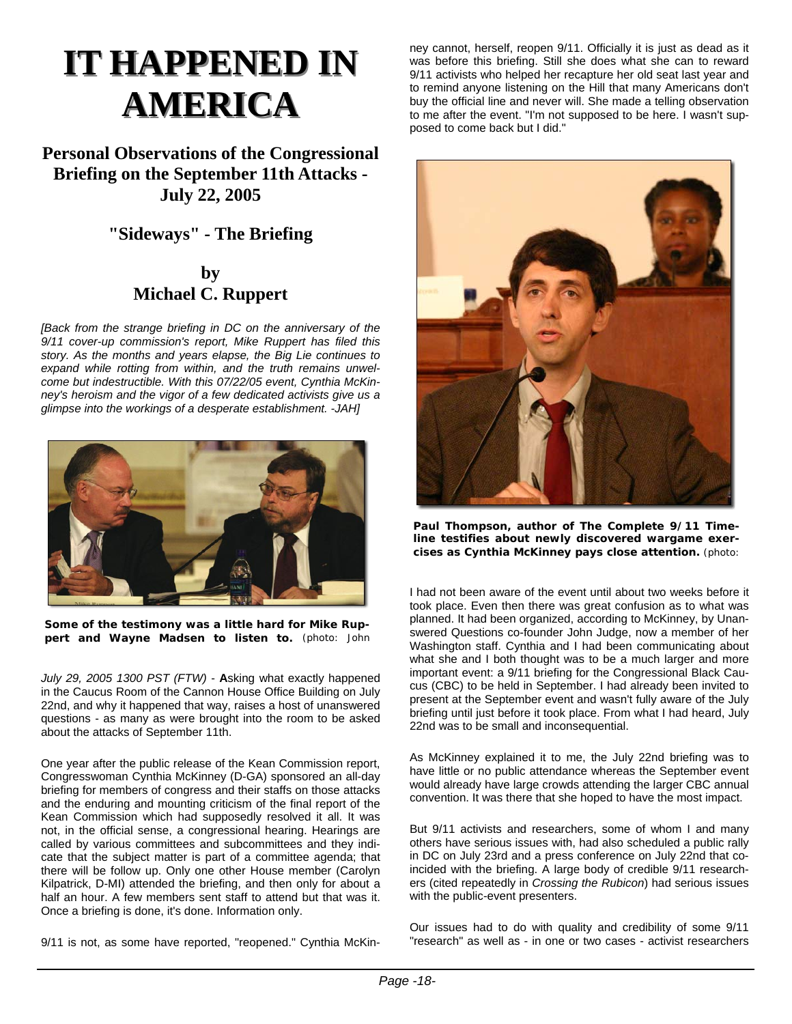# **IT HAPPENED IN AMERICA AMERICA**

**Personal Observations of the Congressional Briefing on the September 11th Attacks - July 22, 2005** 

## **"Sideways" - The Briefing**

## **by Michael C. Ruppert**

*[Back from the strange briefing in DC on the anniversary of the 9/11 cover-up commission's report, Mike Ruppert has filed this story. As the months and years elapse, the Big Lie continues to expand while rotting from within, and the truth remains unwelcome but indestructible. With this 07/22/05 event, Cynthia McKinney's heroism and the vigor of a few dedicated activists give us a glimpse into the workings of a desperate establishment. -JAH]*



**Some of the testimony was a little hard for Mike Ruppert and Wayne Madsen to listen to.** (photo: John

*July 29, 2005 1300 PST (FTW)* - **A**sking what exactly happened in the Caucus Room of the Cannon House Office Building on July 22nd, and why it happened that way, raises a host of unanswered questions - as many as were brought into the room to be asked about the attacks of September 11th.

One year after the public release of the Kean Commission report, Congresswoman Cynthia McKinney (D-GA) sponsored an all-day briefing for members of congress and their staffs on those attacks and the enduring and mounting criticism of the final report of the Kean Commission which had supposedly resolved it all. It was not, in the official sense, a congressional hearing. Hearings are called by various committees and subcommittees and they indicate that the subject matter is part of a committee agenda; that there will be follow up. Only one other House member (Carolyn Kilpatrick, D-MI) attended the briefing, and then only for about a half an hour. A few members sent staff to attend but that was it. Once a briefing is done, it's done. Information only.

9/11 is not, as some have reported, "reopened." Cynthia McKin-

ney cannot, herself, reopen 9/11. Officially it is just as dead as it was before this briefing. Still she does what she can to reward 9/11 activists who helped her recapture her old seat last year and to remind anyone listening on the Hill that many Americans don't buy the official line and never will. She made a telling observation to me after the event. "I'm not supposed to be here. I wasn't supposed to come back but I did."



**Paul Thompson, author of The Complete 9/11 Timeline testifies about newly discovered wargame exercises as Cynthia McKinney pays close attention.** (photo:

I had not been aware of the event until about two weeks before it took place. Even then there was great confusion as to what was planned. It had been organized, according to McKinney, by Unanswered Questions co-founder John Judge, now a member of her Washington staff. Cynthia and I had been communicating about what she and I both thought was to be a much larger and more important event: a 9/11 briefing for the Congressional Black Caucus (CBC) to be held in September. I had already been invited to present at the September event and wasn't fully aware of the July briefing until just before it took place. From what I had heard, July 22nd was to be small and inconsequential.

As McKinney explained it to me, the July 22nd briefing was to have little or no public attendance whereas the September event would already have large crowds attending the larger CBC annual convention. It was there that she hoped to have the most impact.

But 9/11 activists and researchers, some of whom I and many others have serious issues with, had also scheduled a public rally in DC on July 23rd and a press conference on July 22nd that coincided with the briefing. A large body of credible 9/11 researchers (cited repeatedly in *Crossing the Rubicon*) had serious issues with the public-event presenters.

Our issues had to do with quality and credibility of some 9/11 "research" as well as - in one or two cases - activist researchers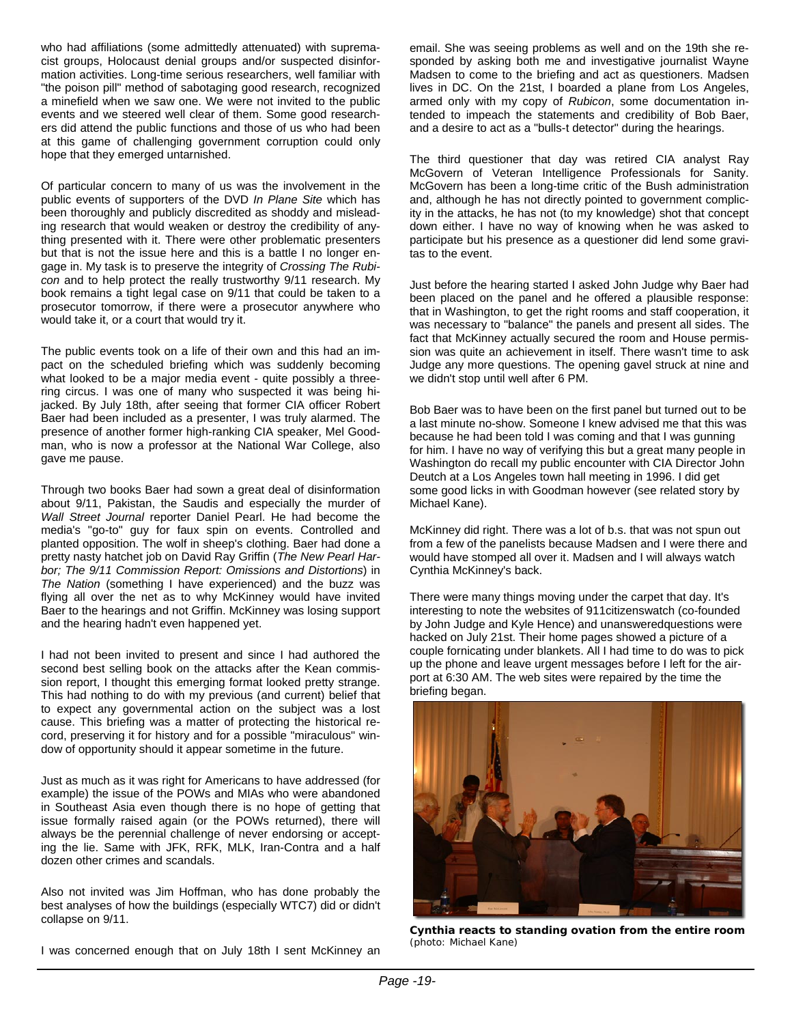who had affiliations (some admittedly attenuated) with supremacist groups, Holocaust denial groups and/or suspected disinformation activities. Long-time serious researchers, well familiar with "the poison pill" method of sabotaging good research, recognized a minefield when we saw one. We were not invited to the public events and we steered well clear of them. Some good researchers did attend the public functions and those of us who had been at this game of challenging government corruption could only hope that they emerged untarnished.

Of particular concern to many of us was the involvement in the public events of supporters of the DVD *In Plane Site* which has been thoroughly and publicly discredited as shoddy and misleading research that would weaken or destroy the credibility of anything presented with it. There were other problematic presenters but that is not the issue here and this is a battle I no longer engage in. My task is to preserve the integrity of *Crossing The Rubicon* and to help protect the really trustworthy 9/11 research. My book remains a tight legal case on 9/11 that could be taken to a prosecutor tomorrow, if there were a prosecutor anywhere who would take it, or a court that would try it.

The public events took on a life of their own and this had an impact on the scheduled briefing which was suddenly becoming what looked to be a major media event - quite possibly a threering circus. I was one of many who suspected it was being hijacked. By July 18th, after seeing that former CIA officer Robert Baer had been included as a presenter, I was truly alarmed. The presence of another former high-ranking CIA speaker, Mel Goodman, who is now a professor at the National War College, also gave me pause.

Through two books Baer had sown a great deal of disinformation about 9/11, Pakistan, the Saudis and especially the murder of *Wall Street Journal* reporter Daniel Pearl. He had become the media's "go-to" guy for faux spin on events. Controlled and planted opposition. The wolf in sheep's clothing. Baer had done a pretty nasty hatchet job on David Ray Griffin (*The New Pearl Harbor; The 9/11 Commission Report: Omissions and Distortions*) in *The Nation* (something I have experienced) and the buzz was flying all over the net as to why McKinney would have invited Baer to the hearings and not Griffin. McKinney was losing support and the hearing hadn't even happened yet.

I had not been invited to present and since I had authored the second best selling book on the attacks after the Kean commission report, I thought this emerging format looked pretty strange. This had nothing to do with my previous (and current) belief that to expect any governmental action on the subject was a lost cause. This briefing was a matter of protecting the historical record, preserving it for history and for a possible "miraculous" window of opportunity should it appear sometime in the future.

Just as much as it was right for Americans to have addressed (for example) the issue of the POWs and MIAs who were abandoned in Southeast Asia even though there is no hope of getting that issue formally raised again (or the POWs returned), there will always be the perennial challenge of never endorsing or accepting the lie. Same with JFK, RFK, MLK, Iran-Contra and a half dozen other crimes and scandals.

Also not invited was Jim Hoffman, who has done probably the best analyses of how the buildings (especially WTC7) did or didn't collapse on 9/11.

I was concerned enough that on July 18th I sent McKinney an

email. She was seeing problems as well and on the 19th she responded by asking both me and investigative journalist Wayne Madsen to come to the briefing and act as questioners. Madsen lives in DC. On the 21st, I boarded a plane from Los Angeles, armed only with my copy of *Rubicon*, some documentation intended to impeach the statements and credibility of Bob Baer, and a desire to act as a "bulls-t detector" during the hearings.

The third questioner that day was retired CIA analyst Ray McGovern of Veteran Intelligence Professionals for Sanity. McGovern has been a long-time critic of the Bush administration and, although he has not directly pointed to government complicity in the attacks, he has not (to my knowledge) shot that concept down either. I have no way of knowing when he was asked to participate but his presence as a questioner did lend some gravitas to the event.

Just before the hearing started I asked John Judge why Baer had been placed on the panel and he offered a plausible response: that in Washington, to get the right rooms and staff cooperation, it was necessary to "balance" the panels and present all sides. The fact that McKinney actually secured the room and House permission was quite an achievement in itself. There wasn't time to ask Judge any more questions. The opening gavel struck at nine and we didn't stop until well after 6 PM.

Bob Baer was to have been on the first panel but turned out to be a last minute no-show. Someone I knew advised me that this was because he had been told I was coming and that I was gunning for him. I have no way of verifying this but a great many people in Washington do recall my public encounter with CIA Director John Deutch at a Los Angeles town hall meeting in 1996. I did get some good licks in with Goodman however (see related story by Michael Kane).

McKinney did right. There was a lot of b.s. that was not spun out from a few of the panelists because Madsen and I were there and would have stomped all over it. Madsen and I will always watch Cynthia McKinney's back.

There were many things moving under the carpet that day. It's interesting to note the websites of 911citizenswatch (co-founded by John Judge and Kyle Hence) and unansweredquestions were hacked on July 21st. Their home pages showed a picture of a couple fornicating under blankets. All I had time to do was to pick up the phone and leave urgent messages before I left for the airport at 6:30 AM. The web sites were repaired by the time the briefing began.



**Cynthia reacts to standing ovation from the entire room**  (photo: Michael Kane)